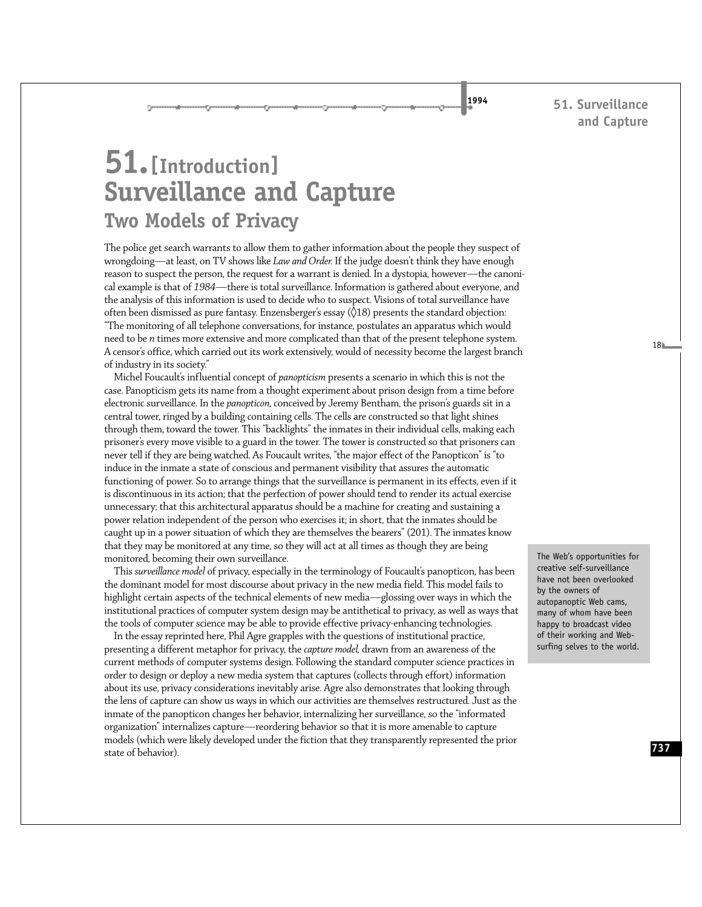**1994**

**51. Surveillance and Capture**

# **51.[Introduction] Surveillance and Capture Two Models of Privacy**

The police get search warrants to allow them to gather information about the people they suspect of wrongdoing—at least, on TV shows like *Law and Order.* If the judge doesn't think they have enough reason to suspect the person, the request for a warrant is denied. In a dystopia, however—the canonical example is that of *1984—*there is total surveillance. Information is gathered about everyone, and the analysis of this information is used to decide who to suspect. Visions of total surveillance have often been dismissed as pure fantasy. Enzensberger's essay (918) presents the standard objection: "The monitoring of all telephone conversations, for instance, postulates an apparatus which would need to be *n* times more extensive and more complicated than that of the present telephone system. A censor's office, which carried out its work extensively, would of necessity become the largest branch of industry in its society."

Michel Foucault's influential concept of *panopticism* presents a scenario in which this is not the case. Panopticism gets its name from a thought experiment about prison design from a time before electronic surveillance. In the *panopticon,* conceived by Jeremy Bentham, the prison's guards sit in a central tower, ringed by a building containing cells. The cells are constructed so that light shines through them, toward the tower. This "backlights" the inmates in their individual cells, making each prisoner's every move visible to a guard in the tower. The tower is constructed so that prisoners can never tell if they are being watched. As Foucault writes, "the major effect of the Panopticon" is "to induce in the inmate a state of conscious and permanent visibility that assures the automatic functioning of power. So to arrange things that the surveillance is permanent in its effects, even if it is discontinuous in its action; that the perfection of power should tend to render its actual exercise unnecessary; that this architectural apparatus should be a machine for creating and sustaining a power relation independent of the person who exercises it; in short, that the inmates should be caught up in a power situation of which they are themselves the bearers" (201). The inmates know that they may be monitored at any time, so they will act at all times as though they are being monitored, becoming their own surveillance.

This *surveillance model* of privacy, especially in the terminology of Foucault's panopticon, has been the dominant model for most discourse about privacy in the new media field. This model fails to highlight certain aspects of the technical elements of new media—glossing over ways in which the institutional practices of computer system design may be antithetical to privacy, as well as ways that the tools of computer science may be able to provide effective privacy-enhancing technologies.

In the essay reprinted here, Phil Agre grapples with the questions of institutional practice, presenting a different metaphor for privacy, the *capture model,* drawn from an awareness of the current methods of computer systems design. Following the standard computer science practices in order to design or deploy a new media system that captures (collects through effort) information about its use, privacy considerations inevitably arise. Agre also demonstrates that looking through the lens of capture can show us ways in which our activities are themselves restructured. Just as the inmate of the panopticon changes her behavior, internalizing her surveillance, so the "informated organization" internalizes capture—reordering behavior so that it is more amenable to capture models (which were likely developed under the fiction that they transparently represented the prior state of behavior).

The Web's opportunities for creative self-surveillance have not been overlooked by the owners of autopanoptic Web cams, many of whom have been happy to broadcast video of their working and Websurfing selves to the world.

**737;**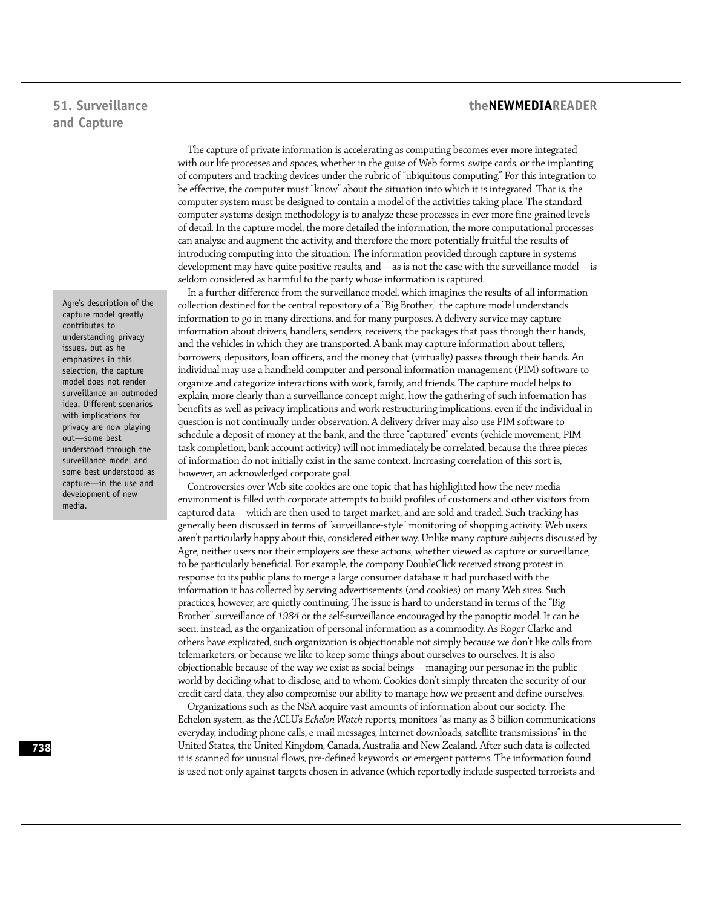Agre's description of the capture model greatly contributes to understanding privacy issues, but as he emphasizes in this selection, the capture model does not render surveillance an outmoded idea. Different scenarios with implications for privacy are now playing out—some best understood through the surveillance model and some best understood as capture—in the use and development of new media.

#### The capture of private information is accelerating as computing becomes ever more integrated with our life processes and spaces, whether in the guise of Web forms, swipe cards, or the implanting of computers and tracking devices under the rubric of "ubiquitous computing." For this integration to be effective, the computer must "know" about the situation into which it is integrated. That is, the computer system must be designed to contain a model of the activities taking place. The standard computer systems design methodology is to analyze these processes in ever more fine-grained levels of detail. In the capture model, the more detailed the information, the more computational processes can analyze and augment the activity, and therefore the more potentially fruitful the results of introducing computing into the situation. The information provided through capture in systems development may have quite positive results, and—as is not the case with the surveillance model—is seldom considered as harmful to the party whose information is captured.

In a further difference from the surveillance model, which imagines the results of all information collection destined for the central repository of a "Big Brother," the capture model understands information to go in many directions, and for many purposes. A delivery service may capture information about drivers, handlers, senders, receivers, the packages that pass through their hands, and the vehicles in which they are transported. A bank may capture information about tellers, borrowers, depositors, loan officers, and the money that (virtually) passes through their hands. An individual may use a handheld computer and personal information management (PIM) software to organize and categorize interactions with work, family, and friends. The capture model helps to explain, more clearly than a surveillance concept might, how the gathering of such information has benefits as well as privacy implications and work-restructuring implications, even if the individual in question is not continually under observation. A delivery driver may also use PIM software to schedule a deposit of money at the bank, and the three "captured" events (vehicle movement, PIM task completion, bank account activity) will not immediately be correlated, because the three pieces of information do not initially exist in the same context. Increasing correlation of this sort is, however, an acknowledged corporate goal.

Controversies over Web site cookies are one topic that has highlighted how the new media environment is filled with corporate attempts to build profiles of customers and other visitors from captured data—which are then used to target-market, and are sold and traded. Such tracking has generally been discussed in terms of "surveillance-style" monitoring of shopping activity. Web users aren't particularly happy about this, considered either way. Unlike many capture subjects discussed by Agre, neither users nor their employers see these actions, whether viewed as capture or surveillance, to be particularly beneficial. For example, the company DoubleClick received strong protest in response to its public plans to merge a large consumer database it had purchased with the information it has collected by serving advertisements (and cookies) on many Web sites. Such practices, however, are quietly continuing. The issue is hard to understand in terms of the "Big Brother" surveillance of *1984* or the self-surveillance encouraged by the panoptic model. It can be seen, instead, as the organization of personal information as a commodity. As Roger Clarke and others have explicated, such organization is objectionable not simply because we don't like calls from telemarketers, or because we like to keep some things about ourselves to ourselves. It is also objectionable because of the way we exist as social beings—managing our personae in the public world by deciding what to disclose, and to whom. Cookies don't simply threaten the security of our credit card data, they also compromise our ability to manage how we present and define ourselves.

Organizations such as the NSA acquire vast amounts of information about our society. The Echelon system, as the ACLU's *Echelon Watch* reports, monitors "as many as 3 billion communications everyday, including phone calls, e-mail messages, Internet downloads, satellite transmissions" in the United States, the United Kingdom, Canada, Australia and New Zealand. After such data is collected it is scanned for unusual flows, pre-defined keywords, or emergent patterns. The information found is used not only against targets chosen in advance (which reportedly include suspected terrorists and

#### **theNEWMEDIAREADER**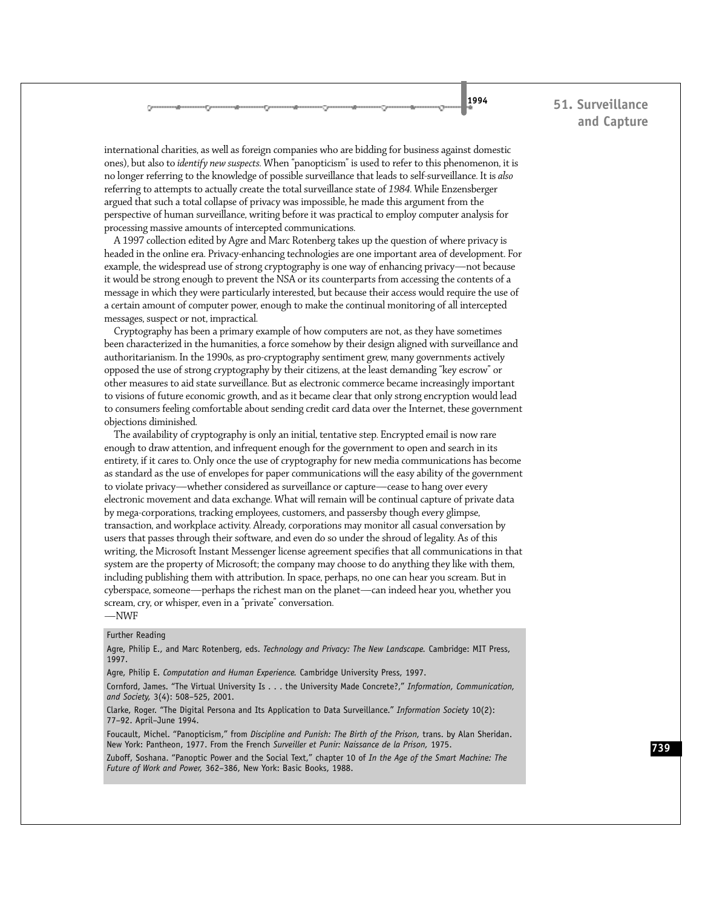**1994**

**51. Surveillance and Capture**

international charities, as well as foreign companies who are bidding for business against domestic ones), but also to *identify new suspects.* When "panopticism" is used to refer to this phenomenon, it is no longer referring to the knowledge of possible surveillance that leads to self-surveillance. It is *also* referring to attempts to actually create the total surveillance state of *1984.* While Enzensberger argued that such a total collapse of privacy was impossible, he made this argument from the perspective of human surveillance, writing before it was practical to employ computer analysis for processing massive amounts of intercepted communications.

A 1997 collection edited by Agre and Marc Rotenberg takes up the question of where privacy is headed in the online era. Privacy-enhancing technologies are one important area of development. For example, the widespread use of strong cryptography is one way of enhancing privacy—not because it would be strong enough to prevent the NSA or its counterparts from accessing the contents of a message in which they were particularly interested, but because their access would require the use of a certain amount of computer power, enough to make the continual monitoring of all intercepted messages, suspect or not, impractical.

Cryptography has been a primary example of how computers are not, as they have sometimes been characterized in the humanities, a force somehow by their design aligned with surveillance and authoritarianism. In the 1990s, as pro-cryptography sentiment grew, many governments actively opposed the use of strong cryptography by their citizens, at the least demanding "key escrow" or other measures to aid state surveillance. But as electronic commerce became increasingly important to visions of future economic growth, and as it became clear that only strong encryption would lead to consumers feeling comfortable about sending credit card data over the Internet, these government objections diminished.

The availability of cryptography is only an initial, tentative step. Encrypted email is now rare enough to draw attention, and infrequent enough for the government to open and search in its entirety, if it cares to. Only once the use of cryptography for new media communications has become as standard as the use of envelopes for paper communications will the easy ability of the government to violate privacy—whether considered as surveillance or capture—cease to hang over every electronic movement and data exchange. What will remain will be continual capture of private data by mega-corporations, tracking employees, customers, and passersby though every glimpse, transaction, and workplace activity. Already, corporations may monitor all casual conversation by users that passes through their software, and even do so under the shroud of legality. As of this writing, the Microsoft Instant Messenger license agreement specifies that all communications in that system are the property of Microsoft; the company may choose to do anything they like with them, including publishing them with attribution. In space, perhaps, no one can hear you scream. But in cyberspace, someone—perhaps the richest man on the planet—can indeed hear you, whether you scream, cry, or whisper, even in a "private" conversation. —NWF

#### Further Reading

Agre, Philip E., and Marc Rotenberg, eds. *Technology and Privacy: The New Landscape.* Cambridge: MIT Press, 1997.

Agre, Philip E. *Computation and Human Experience.* Cambridge University Press, 1997.

Cornford, James. "The Virtual University Is . . . the University Made Concrete?," *Information, Communication, and Society,* 3(4): 508–525, 2001.

Clarke, Roger. "The Digital Persona and Its Application to Data Surveillance." *Information Society* 10(2): 77–92. April–June 1994.

Foucault, Michel. "Panopticism," from *Discipline and Punish: The Birth of the Prison,* trans. by Alan Sheridan. New York: Pantheon, 1977. From the French *Surveiller et Punir: Naissance de la Prison,* 1975.

Zuboff, Soshana. "Panoptic Power and the Social Text," chapter 10 of *In the Age of the Smart Machine: The Future of Work and Power,* 362–386, New York: Basic Books, 1988.

#### **739;**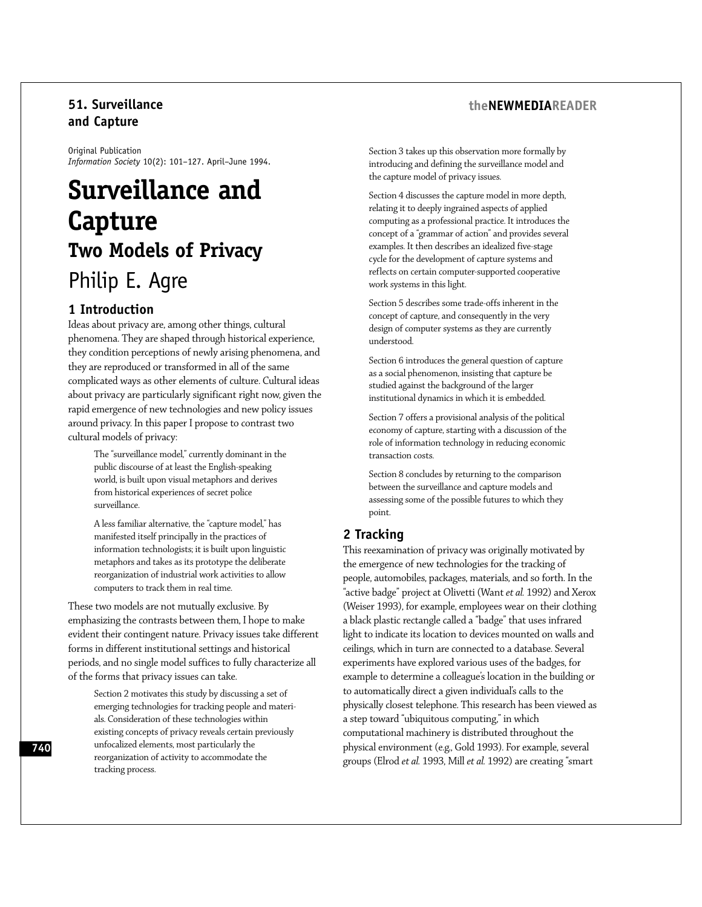Original Publication *Information Society* 10(2): 101–127. April–June 1994.

# **Surveillance and Capture Two Models of Privacy** Philip E. Agre

# **1 Introduction**

Ideas about privacy are, among other things, cultural phenomena. They are shaped through historical experience, they condition perceptions of newly arising phenomena, and they are reproduced or transformed in all of the same complicated ways as other elements of culture. Cultural ideas about privacy are particularly significant right now, given the rapid emergence of new technologies and new policy issues around privacy. In this paper I propose to contrast two cultural models of privacy:

The "surveillance model," currently dominant in the public discourse of at least the English-speaking world, is built upon visual metaphors and derives from historical experiences of secret police surveillance.

A less familiar alternative, the "capture model," has manifested itself principally in the practices of information technologists; it is built upon linguistic metaphors and takes as its prototype the deliberate reorganization of industrial work activities to allow computers to track them in real time.

These two models are not mutually exclusive. By emphasizing the contrasts between them, I hope to make evident their contingent nature. Privacy issues take different forms in different institutional settings and historical periods, and no single model suffices to fully characterize all of the forms that privacy issues can take.

Section 2 motivates this study by discussing a set of emerging technologies for tracking people and materials. Consideration of these technologies within existing concepts of privacy reveals certain previously unfocalized elements, most particularly the reorganization of activity to accommodate the tracking process.

## **theNEWMEDIAREADER**

Section 3 takes up this observation more formally by introducing and defining the surveillance model and the capture model of privacy issues.

Section 4 discusses the capture model in more depth, relating it to deeply ingrained aspects of applied computing as a professional practice. It introduces the concept of a "grammar of action" and provides several examples. It then describes an idealized five-stage cycle for the development of capture systems and reflects on certain computer-supported cooperative work systems in this light.

Section 5 describes some trade-offs inherent in the concept of capture, and consequently in the very design of computer systems as they are currently understood.

Section 6 introduces the general question of capture as a social phenomenon, insisting that capture be studied against the background of the larger institutional dynamics in which it is embedded.

Section 7 offers a provisional analysis of the political economy of capture, starting with a discussion of the role of information technology in reducing economic transaction costs.

Section 8 concludes by returning to the comparison between the surveillance and capture models and assessing some of the possible futures to which they point.

# **2 Tracking**

This reexamination of privacy was originally motivated by the emergence of new technologies for the tracking of people, automobiles, packages, materials, and so forth. In the "active badge" project at Olivetti (Want *et al.* 1992) and Xerox (Weiser 1993), for example, employees wear on their clothing a black plastic rectangle called a "badge" that uses infrared light to indicate its location to devices mounted on walls and ceilings, which in turn are connected to a database. Several experiments have explored various uses of the badges, for example to determine a colleague's location in the building or to automatically direct a given individual's calls to the physically closest telephone. This research has been viewed as a step toward "ubiquitous computing," in which computational machinery is distributed throughout the physical environment (e.g., Gold 1993). For example, several groups (Elrod *et al.* 1993, Mill *et al.* 1992) are creating "smart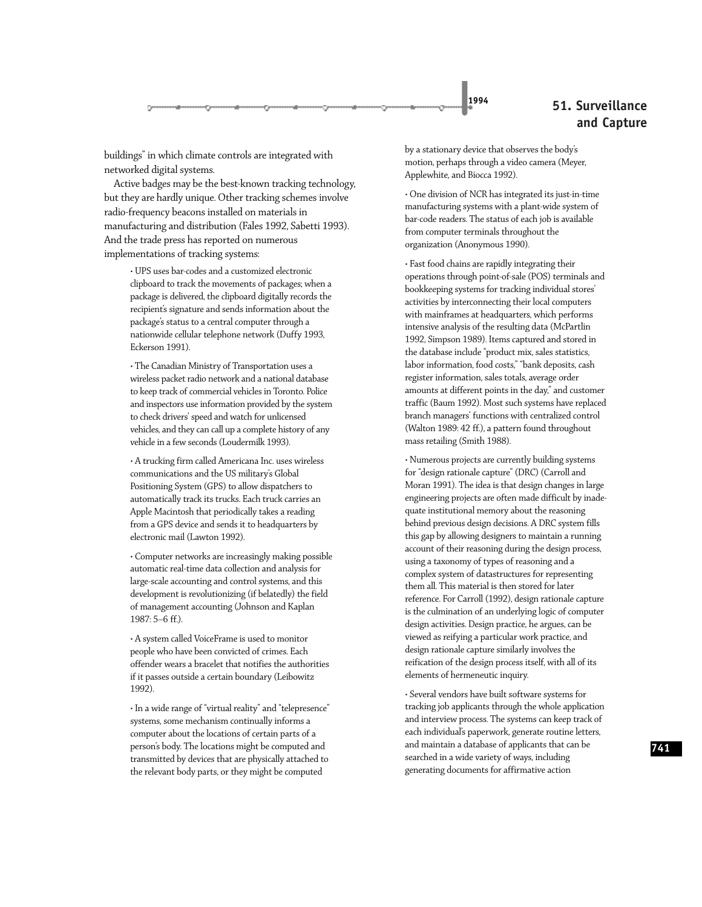**1994**

# **51. Surveillance and Capture**

buildings" in which climate controls are integrated with networked digital systems.

Active badges may be the best-known tracking technology, but they are hardly unique. Other tracking schemes involve radio-frequency beacons installed on materials in manufacturing and distribution (Fales 1992, Sabetti 1993). And the trade press has reported on numerous implementations of tracking systems:

> • UPS uses bar-codes and a customized electronic clipboard to track the movements of packages; when a package is delivered, the clipboard digitally records the recipient's signature and sends information about the package's status to a central computer through a nationwide cellular telephone network (Duffy 1993, Eckerson 1991).

> • The Canadian Ministry of Transportation uses a wireless packet radio network and a national database to keep track of commercial vehicles in Toronto. Police and inspectors use information provided by the system to check drivers' speed and watch for unlicensed vehicles, and they can call up a complete history of any vehicle in a few seconds (Loudermilk 1993).

• A trucking firm called Americana Inc. uses wireless communications and the US military's Global Positioning System (GPS) to allow dispatchers to automatically track its trucks. Each truck carries an Apple Macintosh that periodically takes a reading from a GPS device and sends it to headquarters by electronic mail (Lawton 1992).

• Computer networks are increasingly making possible automatic real-time data collection and analysis for large-scale accounting and control systems, and this development is revolutionizing (if belatedly) the field of management accounting (Johnson and Kaplan 1987: 5–6 ff.).

• A system called VoiceFrame is used to monitor people who have been convicted of crimes. Each offender wears a bracelet that notifies the authorities if it passes outside a certain boundary (Leibowitz 1992).

• In a wide range of "virtual reality" and "telepresence" systems, some mechanism continually informs a computer about the locations of certain parts of a person's body. The locations might be computed and transmitted by devices that are physically attached to the relevant body parts, or they might be computed

by a stationary device that observes the body's motion, perhaps through a video camera (Meyer, Applewhite, and Biocca 1992).

• One division of NCR has integrated its just-in-time manufacturing systems with a plant-wide system of bar-code readers. The status of each job is available from computer terminals throughout the organization (Anonymous 1990).

• Fast food chains are rapidly integrating their operations through point-of-sale (POS) terminals and bookkeeping systems for tracking individual stores' activities by interconnecting their local computers with mainframes at headquarters, which performs intensive analysis of the resulting data (McPartlin 1992, Simpson 1989). Items captured and stored in the database include "product mix, sales statistics, labor information, food costs," "bank deposits, cash register information, sales totals, average order amounts at different points in the day," and customer traffic (Baum 1992). Most such systems have replaced branch managers' functions with centralized control (Walton 1989: 42 ff.), a pattern found throughout mass retailing (Smith 1988).

• Numerous projects are currently building systems for "design rationale capture" (DRC) (Carroll and Moran 1991). The idea is that design changes in large engineering projects are often made difficult by inadequate institutional memory about the reasoning behind previous design decisions. A DRC system fills this gap by allowing designers to maintain a running account of their reasoning during the design process, using a taxonomy of types of reasoning and a complex system of datastructures for representing them all. This material is then stored for later reference. For Carroll (1992), design rationale capture is the culmination of an underlying logic of computer design activities. Design practice, he argues, can be viewed as reifying a particular work practice, and design rationale capture similarly involves the reification of the design process itself, with all of its elements of hermeneutic inquiry.

• Several vendors have built software systems for tracking job applicants through the whole application and interview process. The systems can keep track of each individual's paperwork, generate routine letters, and maintain a database of applicants that can be searched in a wide variety of ways, including generating documents for affirmative action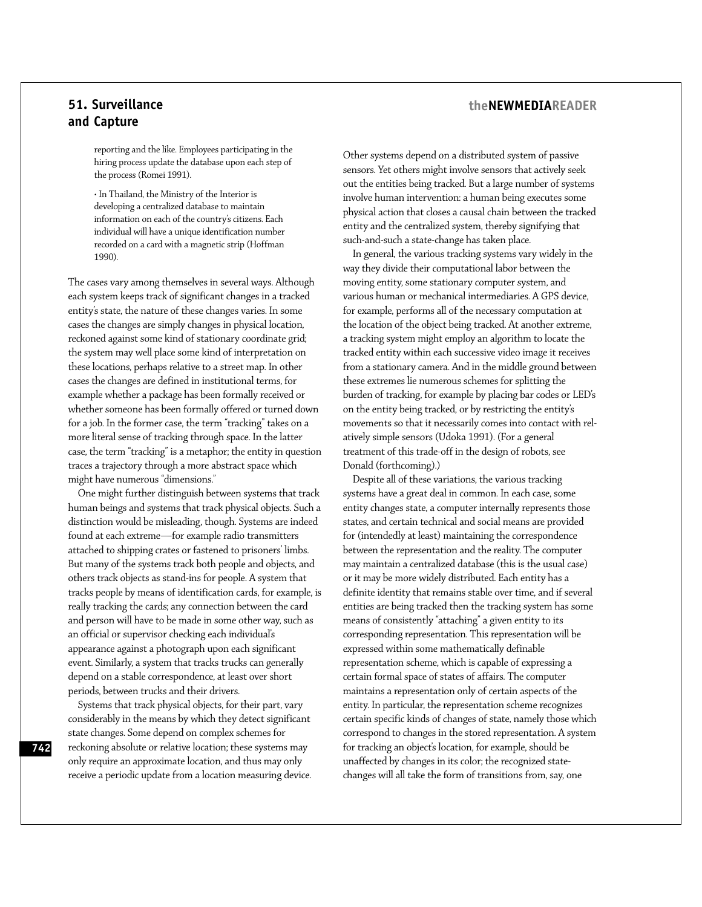reporting and the like. Employees participating in the hiring process update the database upon each step of the process (Romei 1991).

• In Thailand, the Ministry of the Interior is developing a centralized database to maintain information on each of the country's citizens. Each individual will have a unique identification number recorded on a card with a magnetic strip (Hoffman 1990).

The cases vary among themselves in several ways. Although each system keeps track of significant changes in a tracked entity's state, the nature of these changes varies. In some cases the changes are simply changes in physical location, reckoned against some kind of stationary coordinate grid; the system may well place some kind of interpretation on these locations, perhaps relative to a street map. In other cases the changes are defined in institutional terms, for example whether a package has been formally received or whether someone has been formally offered or turned down for a job. In the former case, the term "tracking" takes on a more literal sense of tracking through space. In the latter case, the term "tracking" is a metaphor; the entity in question traces a trajectory through a more abstract space which might have numerous "dimensions."

One might further distinguish between systems that track human beings and systems that track physical objects. Such a distinction would be misleading, though. Systems are indeed found at each extreme—for example radio transmitters attached to shipping crates or fastened to prisoners' limbs. But many of the systems track both people and objects, and others track objects as stand-ins for people. A system that tracks people by means of identification cards, for example, is really tracking the cards; any connection between the card and person will have to be made in some other way, such as an official or supervisor checking each individual's appearance against a photograph upon each significant event. Similarly, a system that tracks trucks can generally depend on a stable correspondence, at least over short periods, between trucks and their drivers.

Systems that track physical objects, for their part, vary considerably in the means by which they detect significant state changes. Some depend on complex schemes for reckoning absolute or relative location; these systems may only require an approximate location, and thus may only receive a periodic update from a location measuring device.

#### **theNEWMEDIAREADER**

Other systems depend on a distributed system of passive sensors. Yet others might involve sensors that actively seek out the entities being tracked. But a large number of systems involve human intervention: a human being executes some physical action that closes a causal chain between the tracked entity and the centralized system, thereby signifying that such-and-such a state-change has taken place.

In general, the various tracking systems vary widely in the way they divide their computational labor between the moving entity, some stationary computer system, and various human or mechanical intermediaries. A GPS device, for example, performs all of the necessary computation at the location of the object being tracked. At another extreme, a tracking system might employ an algorithm to locate the tracked entity within each successive video image it receives from a stationary camera. And in the middle ground between these extremes lie numerous schemes for splitting the burden of tracking, for example by placing bar codes or LED's on the entity being tracked, or by restricting the entity's movements so that it necessarily comes into contact with relatively simple sensors (Udoka 1991). (For a general treatment of this trade-off in the design of robots, see Donald (forthcoming).)

Despite all of these variations, the various tracking systems have a great deal in common. In each case, some entity changes state, a computer internally represents those states, and certain technical and social means are provided for (intendedly at least) maintaining the correspondence between the representation and the reality. The computer may maintain a centralized database (this is the usual case) or it may be more widely distributed. Each entity has a definite identity that remains stable over time, and if several entities are being tracked then the tracking system has some means of consistently "attaching" a given entity to its corresponding representation. This representation will be expressed within some mathematically definable representation scheme, which is capable of expressing a certain formal space of states of affairs. The computer maintains a representation only of certain aspects of the entity. In particular, the representation scheme recognizes certain specific kinds of changes of state, namely those which correspond to changes in the stored representation. A system for tracking an object's location, for example, should be unaffected by changes in its color; the recognized statechanges will all take the form of transitions from, say, one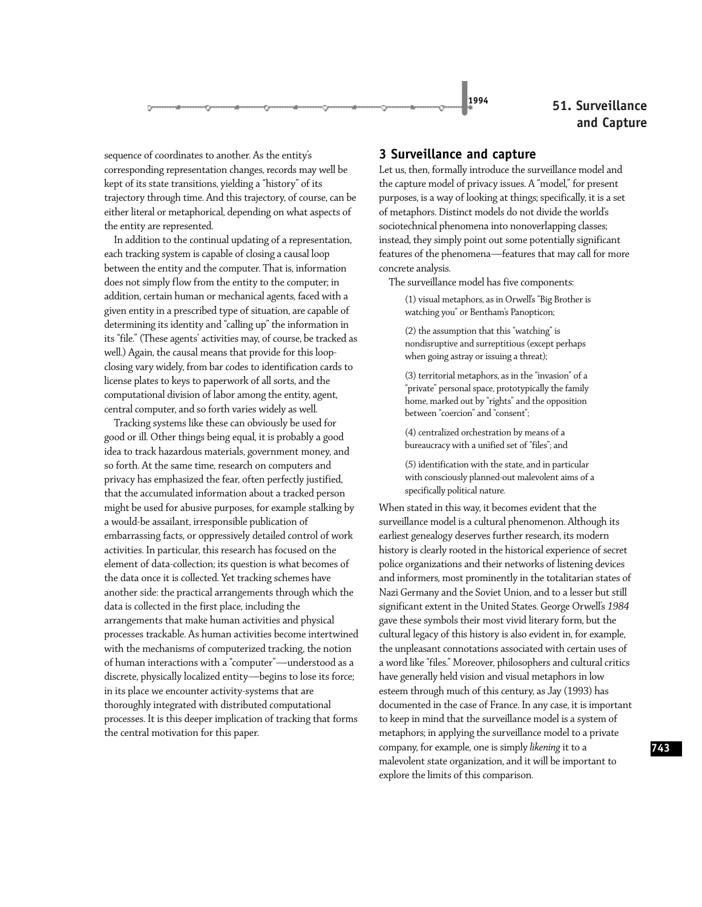sequence of coordinates to another. As the entity's corresponding representation changes, records may well be kept of its state transitions, yielding a "history" of its trajectory through time. And this trajectory, of course, can be either literal or metaphorical, depending on what aspects of the entity are represented.

In addition to the continual updating of a representation, each tracking system is capable of closing a causal loop between the entity and the computer. That is, information does not simply flow from the entity to the computer; in addition, certain human or mechanical agents, faced with a given entity in a prescribed type of situation, are capable of determining its identity and "calling up" the information in its "file." (These agents' activities may, of course, be tracked as well.) Again, the causal means that provide for this loopclosing vary widely, from bar codes to identification cards to license plates to keys to paperwork of all sorts, and the computational division of labor among the entity, agent, central computer, and so forth varies widely as well.

Tracking systems like these can obviously be used for good or ill. Other things being equal, it is probably a good idea to track hazardous materials, government money, and so forth. At the same time, research on computers and privacy has emphasized the fear, often perfectly justified, that the accumulated information about a tracked person might be used for abusive purposes, for example stalking by a would-be assailant, irresponsible publication of embarrassing facts, or oppressively detailed control of work activities. In particular, this research has focused on the element of data-collection; its question is what becomes of the data once it is collected. Yet tracking schemes have another side: the practical arrangements through which the data is collected in the first place, including the arrangements that make human activities and physical processes trackable. As human activities become intertwined with the mechanisms of computerized tracking, the notion of human interactions with a "computer"—understood as a discrete, physically localized entity—begins to lose its force; in its place we encounter activity-systems that are thoroughly integrated with distributed computational processes. It is this deeper implication of tracking that forms the central motivation for this paper.

# **3 Surveillance and capture**

**1994**

Let us, then, formally introduce the surveillance model and the capture model of privacy issues. A "model," for present purposes, is a way of looking at things; specifically, it is a set of metaphors. Distinct models do not divide the world's sociotechnical phenomena into nonoverlapping classes; instead, they simply point out some potentially significant features of the phenomena—features that may call for more concrete analysis.

The surveillance model has five components:

(1) visual metaphors, as in Orwell's "Big Brother is watching you" or Bentham's Panopticon;

(2) the assumption that this "watching" is nondisruptive and surreptitious (except perhaps when going astray or issuing a threat);

(3) territorial metaphors, as in the "invasion" of a "private" personal space, prototypically the family home, marked out by "rights" and the opposition between "coercion" and "consent";

(4) centralized orchestration by means of a bureaucracy with a unified set of "files"; and

(5) identification with the state, and in particular with consciously planned-out malevolent aims of a specifically political nature.

When stated in this way, it becomes evident that the surveillance model is a cultural phenomenon. Although its earliest genealogy deserves further research, its modern history is clearly rooted in the historical experience of secret police organizations and their networks of listening devices and informers, most prominently in the totalitarian states of Nazi Germany and the Soviet Union, and to a lesser but still significant extent in the United States. George Orwell's *1984* gave these symbols their most vivid literary form, but the cultural legacy of this history is also evident in, for example, the unpleasant connotations associated with certain uses of a word like "files." Moreover, philosophers and cultural critics have generally held vision and visual metaphors in low esteem through much of this century, as Jay (1993) has documented in the case of France. In any case, it is important to keep in mind that the surveillance model is a system of metaphors; in applying the surveillance model to a private company, for example, one is simply *likening* it to a malevolent state organization, and it will be important to explore the limits of this comparison.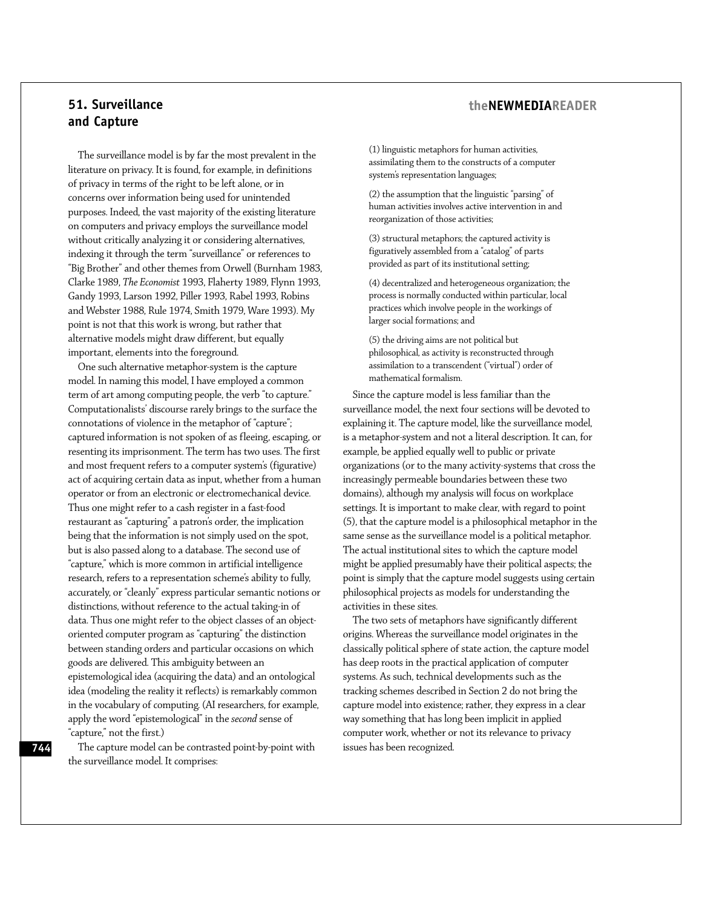The surveillance model is by far the most prevalent in the literature on privacy. It is found, for example, in definitions of privacy in terms of the right to be left alone, or in concerns over information being used for unintended purposes. Indeed, the vast majority of the existing literature on computers and privacy employs the surveillance model without critically analyzing it or considering alternatives, indexing it through the term "surveillance" or references to "Big Brother" and other themes from Orwell (Burnham 1983, Clarke 1989, *The Economist* 1993, Flaherty 1989, Flynn 1993, Gandy 1993, Larson 1992, Piller 1993, Rabel 1993, Robins and Webster 1988, Rule 1974, Smith 1979, Ware 1993). My point is not that this work is wrong, but rather that alternative models might draw different, but equally important, elements into the foreground.

One such alternative metaphor-system is the capture model. In naming this model, I have employed a common term of art among computing people, the verb "to capture." Computationalists' discourse rarely brings to the surface the connotations of violence in the metaphor of "capture"; captured information is not spoken of as fleeing, escaping, or resenting its imprisonment. The term has two uses. The first and most frequent refers to a computer system's (figurative) act of acquiring certain data as input, whether from a human operator or from an electronic or electromechanical device. Thus one might refer to a cash register in a fast-food restaurant as "capturing" a patron's order, the implication being that the information is not simply used on the spot, but is also passed along to a database. The second use of "capture," which is more common in artificial intelligence research, refers to a representation scheme's ability to fully, accurately, or "cleanly" express particular semantic notions or distinctions, without reference to the actual taking-in of data. Thus one might refer to the object classes of an objectoriented computer program as "capturing" the distinction between standing orders and particular occasions on which goods are delivered. This ambiguity between an epistemological idea (acquiring the data) and an ontological idea (modeling the reality it reflects) is remarkably common in the vocabulary of computing. (AI researchers, for example, apply the word "epistemological" in the *second* sense of "capture," not the first.)

The capture model can be contrasted point-by-point with the surveillance model. It comprises:

### **theNEWMEDIAREADER**

(1) linguistic metaphors for human activities, assimilating them to the constructs of a computer system's representation languages;

(2) the assumption that the linguistic "parsing" of human activities involves active intervention in and reorganization of those activities;

(3) structural metaphors; the captured activity is figuratively assembled from a "catalog" of parts provided as part of its institutional setting;

(4) decentralized and heterogeneous organization; the process is normally conducted within particular, local practices which involve people in the workings of larger social formations; and

(5) the driving aims are not political but philosophical, as activity is reconstructed through assimilation to a transcendent ("virtual") order of mathematical formalism.

Since the capture model is less familiar than the surveillance model, the next four sections will be devoted to explaining it. The capture model, like the surveillance model, is a metaphor-system and not a literal description. It can, for example, be applied equally well to public or private organizations (or to the many activity-systems that cross the increasingly permeable boundaries between these two domains), although my analysis will focus on workplace settings. It is important to make clear, with regard to point (5), that the capture model is a philosophical metaphor in the same sense as the surveillance model is a political metaphor. The actual institutional sites to which the capture model might be applied presumably have their political aspects; the point is simply that the capture model suggests using certain philosophical projects as models for understanding the activities in these sites.

The two sets of metaphors have significantly different origins. Whereas the surveillance model originates in the classically political sphere of state action, the capture model has deep roots in the practical application of computer systems. As such, technical developments such as the tracking schemes described in Section 2 do not bring the capture model into existence; rather, they express in a clear way something that has long been implicit in applied computer work, whether or not its relevance to privacy issues has been recognized.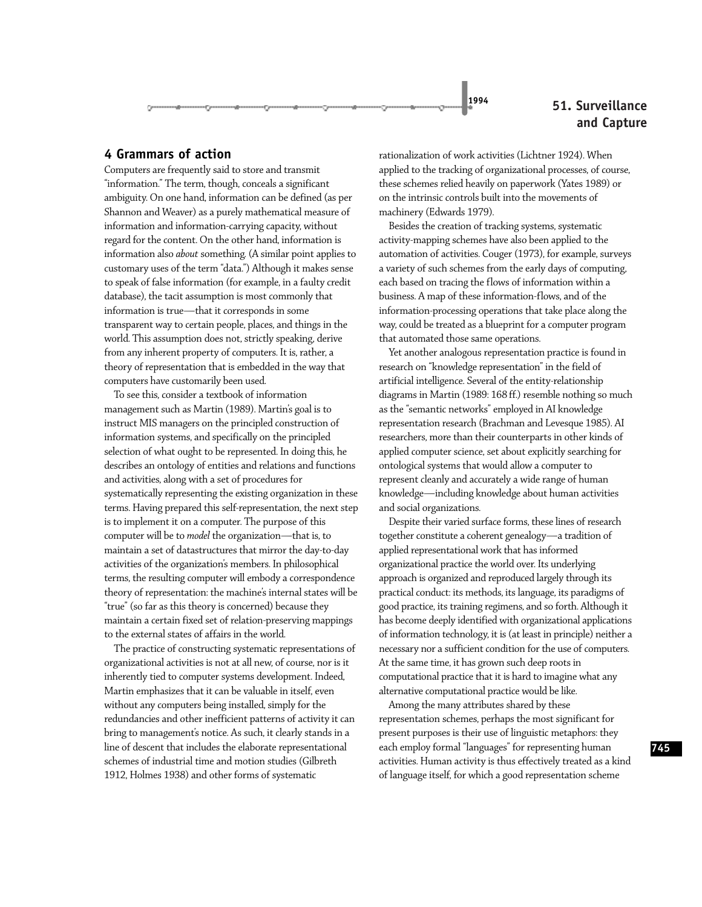**1994**

# **51. Surveillance and Capture**

## **4 Grammars of action**

Computers are frequently said to store and transmit "information." The term, though, conceals a significant ambiguity. On one hand, information can be defined (as per Shannon and Weaver) as a purely mathematical measure of information and information-carrying capacity, without regard for the content. On the other hand, information is information also *about* something. (A similar point applies to customary uses of the term "data.") Although it makes sense to speak of false information (for example, in a faulty credit database), the tacit assumption is most commonly that information is true—that it corresponds in some transparent way to certain people, places, and things in the world. This assumption does not, strictly speaking, derive from any inherent property of computers. It is, rather, a theory of representation that is embedded in the way that computers have customarily been used.

To see this, consider a textbook of information management such as Martin (1989). Martin's goal is to instruct MIS managers on the principled construction of information systems, and specifically on the principled selection of what ought to be represented. In doing this, he describes an ontology of entities and relations and functions and activities, along with a set of procedures for systematically representing the existing organization in these terms. Having prepared this self-representation, the next step is to implement it on a computer. The purpose of this computer will be to *model* the organization—that is, to maintain a set of datastructures that mirror the day-to-day activities of the organization's members. In philosophical terms, the resulting computer will embody a correspondence theory of representation: the machine's internal states will be "true" (so far as this theory is concerned) because they maintain a certain fixed set of relation-preserving mappings to the external states of affairs in the world.

The practice of constructing systematic representations of organizational activities is not at all new, of course, nor is it inherently tied to computer systems development. Indeed, Martin emphasizes that it can be valuable in itself, even without any computers being installed, simply for the redundancies and other inefficient patterns of activity it can bring to management's notice. As such, it clearly stands in a line of descent that includes the elaborate representational schemes of industrial time and motion studies (Gilbreth 1912, Holmes 1938) and other forms of systematic

rationalization of work activities (Lichtner 1924). When applied to the tracking of organizational processes, of course, these schemes relied heavily on paperwork (Yates 1989) or on the intrinsic controls built into the movements of machinery (Edwards 1979).

Besides the creation of tracking systems, systematic activity-mapping schemes have also been applied to the automation of activities. Couger (1973), for example, surveys a variety of such schemes from the early days of computing, each based on tracing the flows of information within a business. A map of these information-flows, and of the information-processing operations that take place along the way, could be treated as a blueprint for a computer program that automated those same operations.

Yet another analogous representation practice is found in research on "knowledge representation" in the field of artificial intelligence. Several of the entity-relationship diagrams in Martin (1989: 168 ff.) resemble nothing so much as the "semantic networks" employed in AI knowledge representation research (Brachman and Levesque 1985). AI researchers, more than their counterparts in other kinds of applied computer science, set about explicitly searching for ontological systems that would allow a computer to represent cleanly and accurately a wide range of human knowledge—including knowledge about human activities and social organizations.

Despite their varied surface forms, these lines of research together constitute a coherent genealogy—a tradition of applied representational work that has informed organizational practice the world over. Its underlying approach is organized and reproduced largely through its practical conduct: its methods, its language, its paradigms of good practice, its training regimens, and so forth. Although it has become deeply identified with organizational applications of information technology, it is (at least in principle) neither a necessary nor a sufficient condition for the use of computers. At the same time, it has grown such deep roots in computational practice that it is hard to imagine what any alternative computational practice would be like.

Among the many attributes shared by these representation schemes, perhaps the most significant for present purposes is their use of linguistic metaphors: they each employ formal "languages" for representing human activities. Human activity is thus effectively treated as a kind of language itself, for which a good representation scheme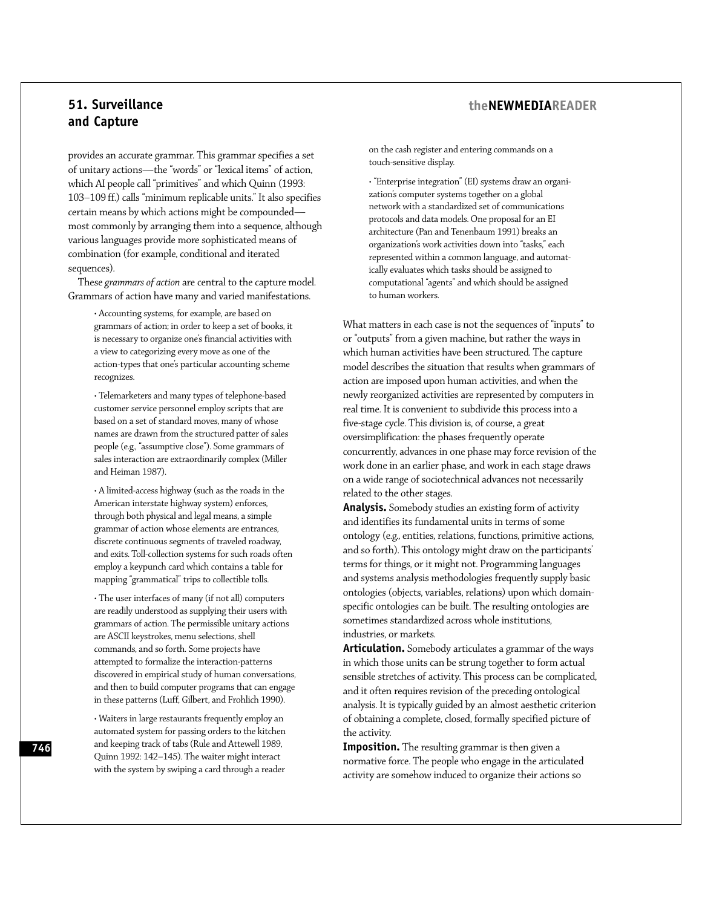provides an accurate grammar. This grammar specifies a set of unitary actions—the "words" or "lexical items" of action, which AI people call "primitives" and which Quinn (1993: 103–109 ff.) calls "minimum replicable units." It also specifies certain means by which actions might be compounded most commonly by arranging them into a sequence, although various languages provide more sophisticated means of combination (for example, conditional and iterated sequences).

These *grammars of action* are central to the capture model. Grammars of action have many and varied manifestations.

> • Accounting systems, for example, are based on grammars of action; in order to keep a set of books, it is necessary to organize one's financial activities with a view to categorizing every move as one of the action-types that one's particular accounting scheme recognizes.

• Telemarketers and many types of telephone-based customer service personnel employ scripts that are based on a set of standard moves, many of whose names are drawn from the structured patter of sales people (e.g., "assumptive close"). Some grammars of sales interaction are extraordinarily complex (Miller and Heiman 1987).

• A limited-access highway (such as the roads in the American interstate highway system) enforces, through both physical and legal means, a simple grammar of action whose elements are entrances, discrete continuous segments of traveled roadway, and exits. Toll-collection systems for such roads often employ a keypunch card which contains a table for mapping "grammatical" trips to collectible tolls.

• The user interfaces of many (if not all) computers are readily understood as supplying their users with grammars of action. The permissible unitary actions are ASCII keystrokes, menu selections, shell commands, and so forth. Some projects have attempted to formalize the interaction-patterns discovered in empirical study of human conversations, and then to build computer programs that can engage in these patterns (Luff, Gilbert, and Frohlich 1990).

• Waiters in large restaurants frequently employ an automated system for passing orders to the kitchen and keeping track of tabs (Rule and Attewell 1989, Quinn 1992: 142–145). The waiter might interact with the system by swiping a card through a reader

#### **theNEWMEDIAREADER**

on the cash register and entering commands on a touch-sensitive display.

• "Enterprise integration" (EI) systems draw an organization's computer systems together on a global network with a standardized set of communications protocols and data models. One proposal for an EI architecture (Pan and Tenenbaum 1991) breaks an organization's work activities down into "tasks," each represented within a common language, and automatically evaluates which tasks should be assigned to computational "agents" and which should be assigned to human workers.

What matters in each case is not the sequences of "inputs" to or "outputs" from a given machine, but rather the ways in which human activities have been structured. The capture model describes the situation that results when grammars of action are imposed upon human activities, and when the newly reorganized activities are represented by computers in real time. It is convenient to subdivide this process into a five-stage cycle. This division is, of course, a great oversimplification: the phases frequently operate concurrently, advances in one phase may force revision of the work done in an earlier phase, and work in each stage draws on a wide range of sociotechnical advances not necessarily related to the other stages.

**Analysis.** Somebody studies an existing form of activity and identifies its fundamental units in terms of some ontology (e.g., entities, relations, functions, primitive actions, and so forth). This ontology might draw on the participants' terms for things, or it might not. Programming languages and systems analysis methodologies frequently supply basic ontologies (objects, variables, relations) upon which domainspecific ontologies can be built. The resulting ontologies are sometimes standardized across whole institutions, industries, or markets.

**Articulation.** Somebody articulates a grammar of the ways in which those units can be strung together to form actual sensible stretches of activity. This process can be complicated, and it often requires revision of the preceding ontological analysis. It is typically guided by an almost aesthetic criterion of obtaining a complete, closed, formally specified picture of the activity.

**Imposition.** The resulting grammar is then given a normative force. The people who engage in the articulated activity are somehow induced to organize their actions so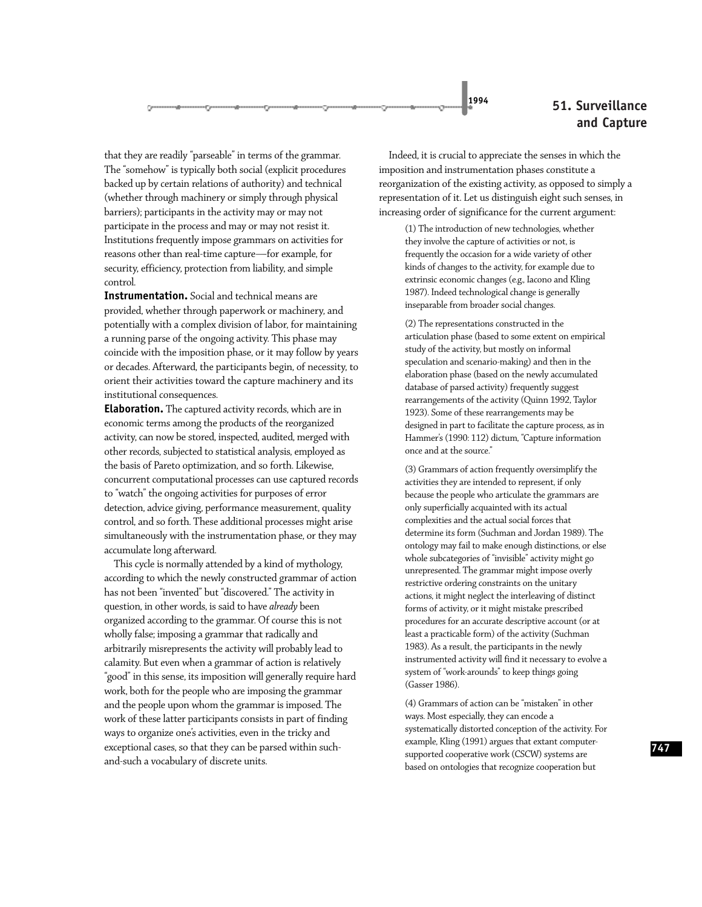that they are readily "parseable" in terms of the grammar. The "somehow" is typically both social (explicit procedures backed up by certain relations of authority) and technical (whether through machinery or simply through physical barriers); participants in the activity may or may not participate in the process and may or may not resist it. Institutions frequently impose grammars on activities for reasons other than real-time capture—for example, for security, efficiency, protection from liability, and simple control.

**Instrumentation.** Social and technical means are provided, whether through paperwork or machinery, and potentially with a complex division of labor, for maintaining a running parse of the ongoing activity. This phase may coincide with the imposition phase, or it may follow by years or decades. Afterward, the participants begin, of necessity, to orient their activities toward the capture machinery and its institutional consequences.

**Elaboration.** The captured activity records, which are in economic terms among the products of the reorganized activity, can now be stored, inspected, audited, merged with other records, subjected to statistical analysis, employed as the basis of Pareto optimization, and so forth. Likewise, concurrent computational processes can use captured records to "watch" the ongoing activities for purposes of error detection, advice giving, performance measurement, quality control, and so forth. These additional processes might arise simultaneously with the instrumentation phase, or they may accumulate long afterward.

This cycle is normally attended by a kind of mythology, according to which the newly constructed grammar of action has not been "invented" but "discovered." The activity in question, in other words, is said to have *already* been organized according to the grammar. Of course this is not wholly false; imposing a grammar that radically and arbitrarily misrepresents the activity will probably lead to calamity. But even when a grammar of action is relatively "good" in this sense, its imposition will generally require hard work, both for the people who are imposing the grammar and the people upon whom the grammar is imposed. The work of these latter participants consists in part of finding ways to organize one's activities, even in the tricky and exceptional cases, so that they can be parsed within suchand-such a vocabulary of discrete units.

# **51. Surveillance and Capture**

Indeed, it is crucial to appreciate the senses in which the imposition and instrumentation phases constitute a reorganization of the existing activity, as opposed to simply a representation of it. Let us distinguish eight such senses, in increasing order of significance for the current argument:

**1994**

(1) The introduction of new technologies, whether they involve the capture of activities or not, is frequently the occasion for a wide variety of other kinds of changes to the activity, for example due to extrinsic economic changes (e.g., Iacono and Kling 1987). Indeed technological change is generally inseparable from broader social changes.

(2) The representations constructed in the articulation phase (based to some extent on empirical study of the activity, but mostly on informal speculation and scenario-making) and then in the elaboration phase (based on the newly accumulated database of parsed activity) frequently suggest rearrangements of the activity (Quinn 1992, Taylor 1923). Some of these rearrangements may be designed in part to facilitate the capture process, as in Hammer's (1990: 112) dictum, "Capture information once and at the source."

(3) Grammars of action frequently oversimplify the activities they are intended to represent, if only because the people who articulate the grammars are only superficially acquainted with its actual complexities and the actual social forces that determine its form (Suchman and Jordan 1989). The ontology may fail to make enough distinctions, or else whole subcategories of "invisible" activity might go unrepresented. The grammar might impose overly restrictive ordering constraints on the unitary actions, it might neglect the interleaving of distinct forms of activity, or it might mistake prescribed procedures for an accurate descriptive account (or at least a practicable form) of the activity (Suchman 1983). As a result, the participants in the newly instrumented activity will find it necessary to evolve a system of "work-arounds" to keep things going (Gasser 1986).

(4) Grammars of action can be "mistaken" in other ways. Most especially, they can encode a systematically distorted conception of the activity. For example, Kling (1991) argues that extant computersupported cooperative work (CSCW) systems are based on ontologies that recognize cooperation but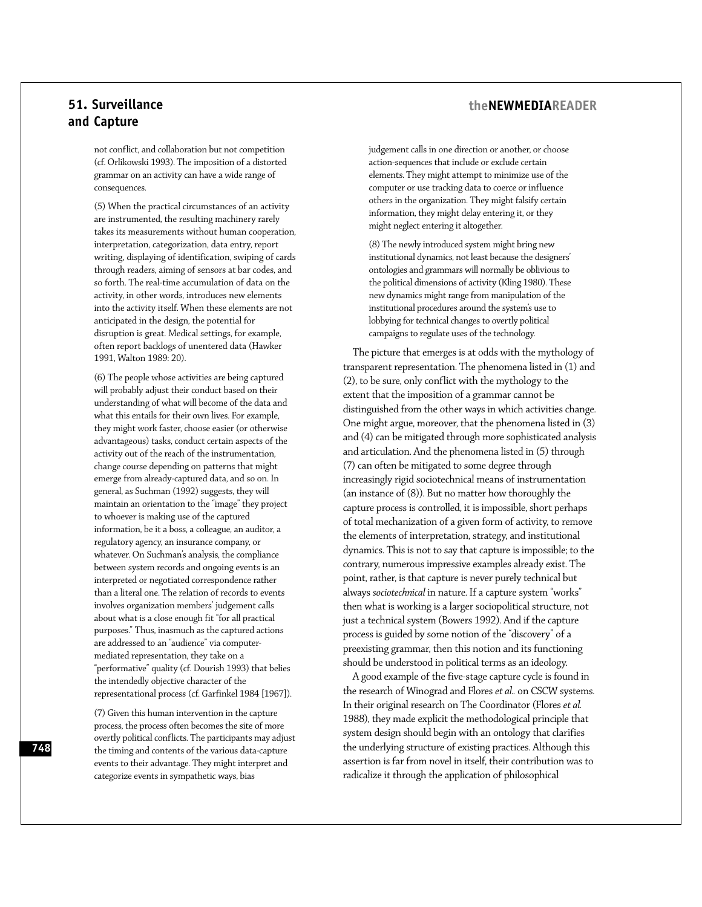not conflict, and collaboration but not competition (cf. Orlikowski 1993). The imposition of a distorted grammar on an activity can have a wide range of consequences.

(5) When the practical circumstances of an activity are instrumented, the resulting machinery rarely takes its measurements without human cooperation, interpretation, categorization, data entry, report writing, displaying of identification, swiping of cards through readers, aiming of sensors at bar codes, and so forth. The real-time accumulation of data on the activity, in other words, introduces new elements into the activity itself. When these elements are not anticipated in the design, the potential for disruption is great. Medical settings, for example, often report backlogs of unentered data (Hawker 1991, Walton 1989: 20).

(6) The people whose activities are being captured will probably adjust their conduct based on their understanding of what will become of the data and what this entails for their own lives. For example, they might work faster, choose easier (or otherwise advantageous) tasks, conduct certain aspects of the activity out of the reach of the instrumentation, change course depending on patterns that might emerge from already-captured data, and so on. In general, as Suchman (1992) suggests, they will maintain an orientation to the "image" they project to whoever is making use of the captured information, be it a boss, a colleague, an auditor, a regulatory agency, an insurance company, or whatever. On Suchman's analysis, the compliance between system records and ongoing events is an interpreted or negotiated correspondence rather than a literal one. The relation of records to events involves organization members' judgement calls about what is a close enough fit "for all practical purposes." Thus, inasmuch as the captured actions are addressed to an "audience" via computermediated representation, they take on a "performative" quality (cf. Dourish 1993) that belies the intendedly objective character of the representational process (cf. Garfinkel 1984 [1967]).

(7) Given this human intervention in the capture process, the process often becomes the site of more overtly political conflicts. The participants may adjust the timing and contents of the various data-capture events to their advantage. They might interpret and categorize events in sympathetic ways, bias

# **theNEWMEDIAREADER**

judgement calls in one direction or another, or choose action-sequences that include or exclude certain elements. They might attempt to minimize use of the computer or use tracking data to coerce or influence others in the organization. They might falsify certain information, they might delay entering it, or they might neglect entering it altogether.

(8) The newly introduced system might bring new institutional dynamics, not least because the designers' ontologies and grammars will normally be oblivious to the political dimensions of activity (Kling 1980). These new dynamics might range from manipulation of the institutional procedures around the system's use to lobbying for technical changes to overtly political campaigns to regulate uses of the technology.

The picture that emerges is at odds with the mythology of transparent representation. The phenomena listed in (1) and (2), to be sure, only conflict with the mythology to the extent that the imposition of a grammar cannot be distinguished from the other ways in which activities change. One might argue, moreover, that the phenomena listed in (3) and (4) can be mitigated through more sophisticated analysis and articulation. And the phenomena listed in (5) through (7) can often be mitigated to some degree through increasingly rigid sociotechnical means of instrumentation (an instance of (8)). But no matter how thoroughly the capture process is controlled, it is impossible, short perhaps of total mechanization of a given form of activity, to remove the elements of interpretation, strategy, and institutional dynamics. This is not to say that capture is impossible; to the contrary, numerous impressive examples already exist. The point, rather, is that capture is never purely technical but always *sociotechnical* in nature. If a capture system "works" then what is working is a larger sociopolitical structure, not just a technical system (Bowers 1992). And if the capture process is guided by some notion of the "discovery" of a preexisting grammar, then this notion and its functioning should be understood in political terms as an ideology.

A good example of the five-stage capture cycle is found in the research of Winograd and Flores *et al..* on CSCW systems. In their original research on The Coordinator (Flores *et al.* 1988), they made explicit the methodological principle that system design should begin with an ontology that clarifies the underlying structure of existing practices. Although this assertion is far from novel in itself, their contribution was to radicalize it through the application of philosophical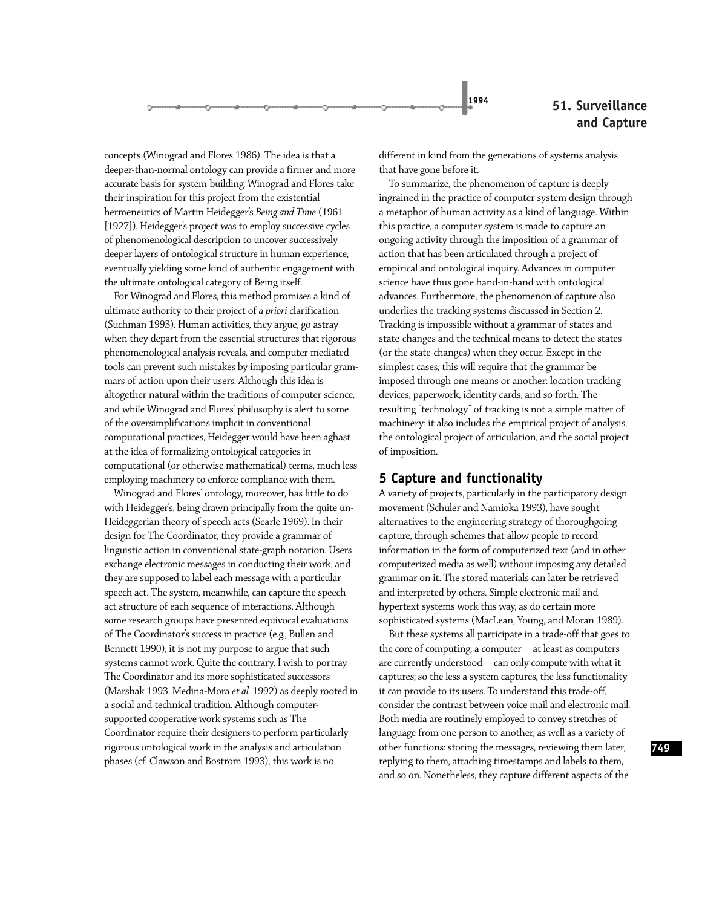concepts (Winograd and Flores 1986). The idea is that a deeper-than-normal ontology can provide a firmer and more accurate basis for system-building. Winograd and Flores take their inspiration for this project from the existential hermeneutics of Martin Heidegger's *Being and Time* (1961 [1927]). Heidegger's project was to employ successive cycles of phenomenological description to uncover successively deeper layers of ontological structure in human experience, eventually yielding some kind of authentic engagement with the ultimate ontological category of Being itself.

For Winograd and Flores, this method promises a kind of ultimate authority to their project of *a priori* clarification (Suchman 1993). Human activities, they argue, go astray when they depart from the essential structures that rigorous phenomenological analysis reveals, and computer-mediated tools can prevent such mistakes by imposing particular grammars of action upon their users. Although this idea is altogether natural within the traditions of computer science, and while Winograd and Flores' philosophy is alert to some of the oversimplifications implicit in conventional computational practices, Heidegger would have been aghast at the idea of formalizing ontological categories in computational (or otherwise mathematical) terms, much less employing machinery to enforce compliance with them.

Winograd and Flores' ontology, moreover, has little to do with Heidegger's, being drawn principally from the quite un-Heideggerian theory of speech acts (Searle 1969). In their design for The Coordinator, they provide a grammar of linguistic action in conventional state-graph notation. Users exchange electronic messages in conducting their work, and they are supposed to label each message with a particular speech act. The system, meanwhile, can capture the speechact structure of each sequence of interactions. Although some research groups have presented equivocal evaluations of The Coordinator's success in practice (e.g., Bullen and Bennett 1990), it is not my purpose to argue that such systems cannot work. Quite the contrary, I wish to portray The Coordinator and its more sophisticated successors (Marshak 1993, Medina-Mora *et al.* 1992) as deeply rooted in a social and technical tradition. Although computersupported cooperative work systems such as The Coordinator require their designers to perform particularly rigorous ontological work in the analysis and articulation phases (cf. Clawson and Bostrom 1993), this work is no

different in kind from the generations of systems analysis that have gone before it.

**1994**

**51. Surveillance and Capture**

To summarize, the phenomenon of capture is deeply ingrained in the practice of computer system design through a metaphor of human activity as a kind of language. Within this practice, a computer system is made to capture an ongoing activity through the imposition of a grammar of action that has been articulated through a project of empirical and ontological inquiry. Advances in computer science have thus gone hand-in-hand with ontological advances. Furthermore, the phenomenon of capture also underlies the tracking systems discussed in Section 2. Tracking is impossible without a grammar of states and state-changes and the technical means to detect the states (or the state-changes) when they occur. Except in the simplest cases, this will require that the grammar be imposed through one means or another: location tracking devices, paperwork, identity cards, and so forth. The resulting "technology" of tracking is not a simple matter of machinery: it also includes the empirical project of analysis, the ontological project of articulation, and the social project of imposition.

#### **5 Capture and functionality**

A variety of projects, particularly in the participatory design movement (Schuler and Namioka 1993), have sought alternatives to the engineering strategy of thoroughgoing capture, through schemes that allow people to record information in the form of computerized text (and in other computerized media as well) without imposing any detailed grammar on it. The stored materials can later be retrieved and interpreted by others. Simple electronic mail and hypertext systems work this way, as do certain more sophisticated systems (MacLean, Young, and Moran 1989).

But these systems all participate in a trade-off that goes to the core of computing: a computer—at least as computers are currently understood—can only compute with what it captures; so the less a system captures, the less functionality it can provide to its users. To understand this trade-off, consider the contrast between voice mail and electronic mail. Both media are routinely employed to convey stretches of language from one person to another, as well as a variety of other functions: storing the messages, reviewing them later, replying to them, attaching timestamps and labels to them, and so on. Nonetheless, they capture different aspects of the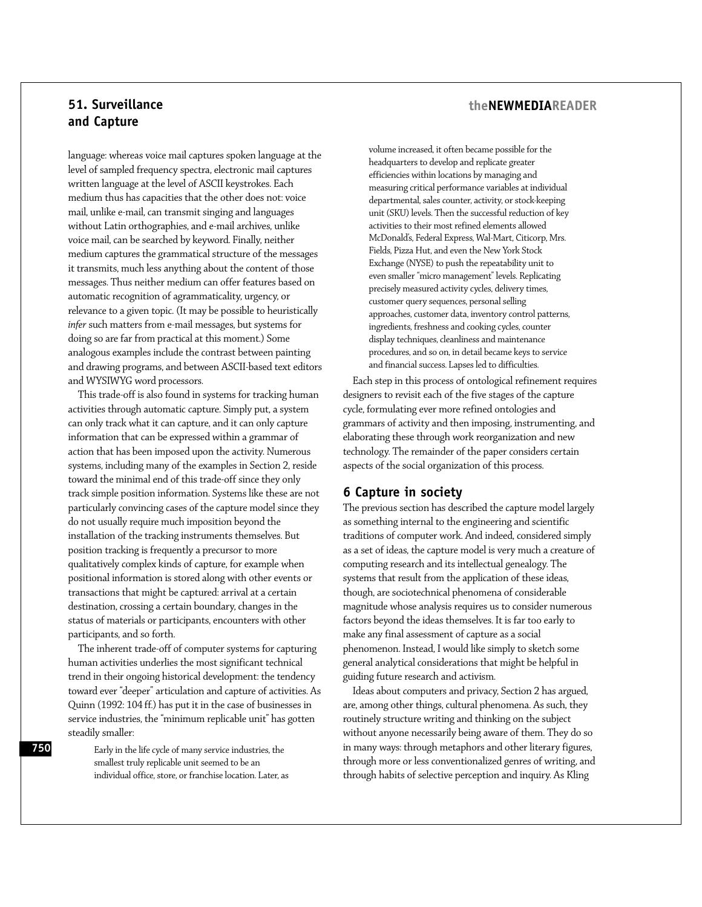language: whereas voice mail captures spoken language at the level of sampled frequency spectra, electronic mail captures written language at the level of ASCII keystrokes. Each medium thus has capacities that the other does not: voice mail, unlike e-mail, can transmit singing and languages without Latin orthographies, and e-mail archives, unlike voice mail, can be searched by keyword. Finally, neither medium captures the grammatical structure of the messages it transmits, much less anything about the content of those messages. Thus neither medium can offer features based on automatic recognition of agrammaticality, urgency, or relevance to a given topic. (It may be possible to heuristically *infer* such matters from e-mail messages, but systems for doing so are far from practical at this moment.) Some analogous examples include the contrast between painting and drawing programs, and between ASCII-based text editors and WYSIWYG word processors.

This trade-off is also found in systems for tracking human activities through automatic capture. Simply put, a system can only track what it can capture, and it can only capture information that can be expressed within a grammar of action that has been imposed upon the activity. Numerous systems, including many of the examples in Section 2, reside toward the minimal end of this trade-off since they only track simple position information. Systems like these are not particularly convincing cases of the capture model since they do not usually require much imposition beyond the installation of the tracking instruments themselves. But position tracking is frequently a precursor to more qualitatively complex kinds of capture, for example when positional information is stored along with other events or transactions that might be captured: arrival at a certain destination, crossing a certain boundary, changes in the status of materials or participants, encounters with other participants, and so forth.

The inherent trade-off of computer systems for capturing human activities underlies the most significant technical trend in their ongoing historical development: the tendency toward ever "deeper" articulation and capture of activities. As Quinn (1992: 104 ff.) has put it in the case of businesses in service industries, the "minimum replicable unit" has gotten steadily smaller:

Early in the life cycle of many service industries, the smallest truly replicable unit seemed to be an individual office, store, or franchise location. Later, as

#### **theNEWMEDIAREADER**

volume increased, it often became possible for the headquarters to develop and replicate greater efficiencies within locations by managing and measuring critical performance variables at individual departmental, sales counter, activity, or stock-keeping unit (SKU) levels. Then the successful reduction of key activities to their most refined elements allowed McDonald's, Federal Express, Wal-Mart, Citicorp, Mrs. Fields, Pizza Hut, and even the New York Stock Exchange (NYSE) to push the repeatability unit to even smaller "micro management" levels. Replicating precisely measured activity cycles, delivery times, customer query sequences, personal selling approaches, customer data, inventory control patterns, ingredients, freshness and cooking cycles, counter display techniques, cleanliness and maintenance procedures, and so on, in detail became keys to service and financial success. Lapses led to difficulties.

Each step in this process of ontological refinement requires designers to revisit each of the five stages of the capture cycle, formulating ever more refined ontologies and grammars of activity and then imposing, instrumenting, and elaborating these through work reorganization and new technology. The remainder of the paper considers certain aspects of the social organization of this process.

#### **6 Capture in society**

The previous section has described the capture model largely as something internal to the engineering and scientific traditions of computer work. And indeed, considered simply as a set of ideas, the capture model is very much a creature of computing research and its intellectual genealogy. The systems that result from the application of these ideas, though, are sociotechnical phenomena of considerable magnitude whose analysis requires us to consider numerous factors beyond the ideas themselves. It is far too early to make any final assessment of capture as a social phenomenon. Instead, I would like simply to sketch some general analytical considerations that might be helpful in guiding future research and activism.

Ideas about computers and privacy, Section 2 has argued, are, among other things, cultural phenomena. As such, they routinely structure writing and thinking on the subject without anyone necessarily being aware of them. They do so in many ways: through metaphors and other literary figures, through more or less conventionalized genres of writing, and through habits of selective perception and inquiry. As Kling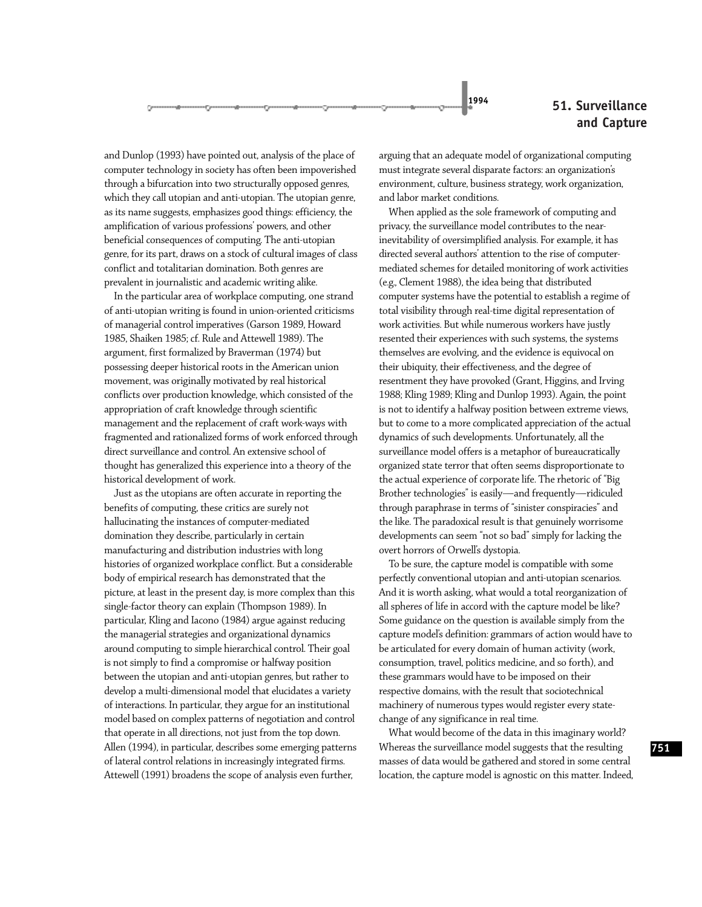

and Dunlop (1993) have pointed out, analysis of the place of computer technology in society has often been impoverished through a bifurcation into two structurally opposed genres, which they call utopian and anti-utopian. The utopian genre, as its name suggests, emphasizes good things: efficiency, the amplification of various professions' powers, and other beneficial consequences of computing. The anti-utopian genre, for its part, draws on a stock of cultural images of class conflict and totalitarian domination. Both genres are prevalent in journalistic and academic writing alike.

In the particular area of workplace computing, one strand of anti-utopian writing is found in union-oriented criticisms of managerial control imperatives (Garson 1989, Howard 1985, Shaiken 1985; cf. Rule and Attewell 1989). The argument, first formalized by Braverman (1974) but possessing deeper historical roots in the American union movement, was originally motivated by real historical conflicts over production knowledge, which consisted of the appropriation of craft knowledge through scientific management and the replacement of craft work-ways with fragmented and rationalized forms of work enforced through direct surveillance and control. An extensive school of thought has generalized this experience into a theory of the historical development of work.

Just as the utopians are often accurate in reporting the benefits of computing, these critics are surely not hallucinating the instances of computer-mediated domination they describe, particularly in certain manufacturing and distribution industries with long histories of organized workplace conflict. But a considerable body of empirical research has demonstrated that the picture, at least in the present day, is more complex than this single-factor theory can explain (Thompson 1989). In particular, Kling and Iacono (1984) argue against reducing the managerial strategies and organizational dynamics around computing to simple hierarchical control. Their goal is not simply to find a compromise or halfway position between the utopian and anti-utopian genres, but rather to develop a multi-dimensional model that elucidates a variety of interactions. In particular, they argue for an institutional model based on complex patterns of negotiation and control that operate in all directions, not just from the top down. Allen (1994), in particular, describes some emerging patterns of lateral control relations in increasingly integrated firms. Attewell (1991) broadens the scope of analysis even further,

arguing that an adequate model of organizational computing must integrate several disparate factors: an organization's environment, culture, business strategy, work organization, and labor market conditions.

**51. Surveillance and Capture**

When applied as the sole framework of computing and privacy, the surveillance model contributes to the nearinevitability of oversimplified analysis. For example, it has directed several authors' attention to the rise of computermediated schemes for detailed monitoring of work activities (e.g., Clement 1988), the idea being that distributed computer systems have the potential to establish a regime of total visibility through real-time digital representation of work activities. But while numerous workers have justly resented their experiences with such systems, the systems themselves are evolving, and the evidence is equivocal on their ubiquity, their effectiveness, and the degree of resentment they have provoked (Grant, Higgins, and Irving 1988; Kling 1989; Kling and Dunlop 1993). Again, the point is not to identify a halfway position between extreme views, but to come to a more complicated appreciation of the actual dynamics of such developments. Unfortunately, all the surveillance model offers is a metaphor of bureaucratically organized state terror that often seems disproportionate to the actual experience of corporate life. The rhetoric of "Big Brother technologies" is easily—and frequently—ridiculed through paraphrase in terms of "sinister conspiracies" and the like. The paradoxical result is that genuinely worrisome developments can seem "not so bad" simply for lacking the overt horrors of Orwell's dystopia.

To be sure, the capture model is compatible with some perfectly conventional utopian and anti-utopian scenarios. And it is worth asking, what would a total reorganization of all spheres of life in accord with the capture model be like? Some guidance on the question is available simply from the capture model's definition: grammars of action would have to be articulated for every domain of human activity (work, consumption, travel, politics medicine, and so forth), and these grammars would have to be imposed on their respective domains, with the result that sociotechnical machinery of numerous types would register every statechange of any significance in real time.

What would become of the data in this imaginary world? Whereas the surveillance model suggests that the resulting masses of data would be gathered and stored in some central location, the capture model is agnostic on this matter. Indeed,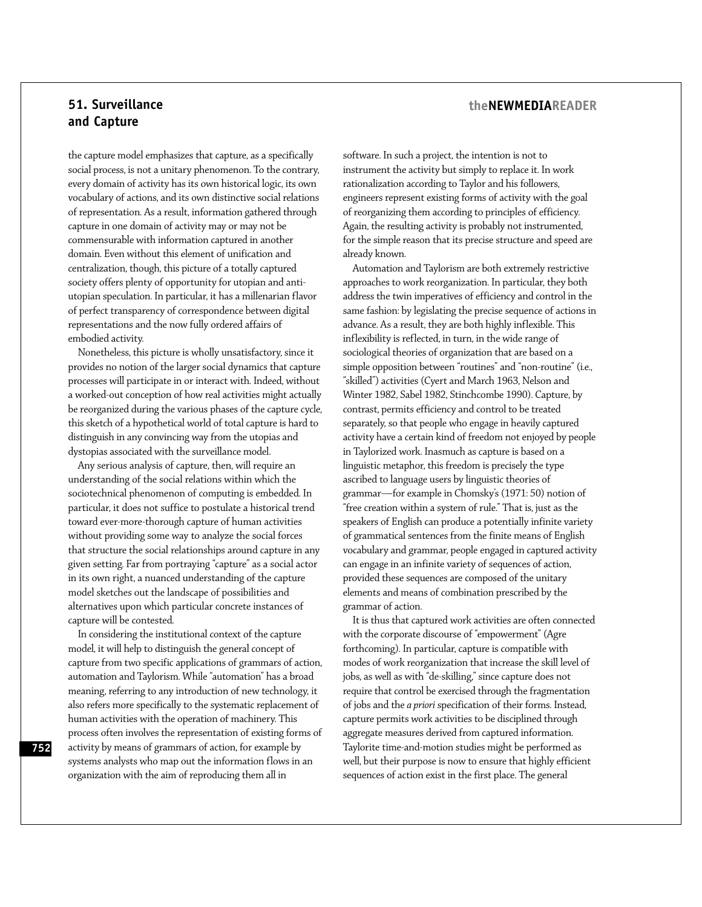the capture model emphasizes that capture, as a specifically social process, is not a unitary phenomenon. To the contrary, every domain of activity has its own historical logic, its own vocabulary of actions, and its own distinctive social relations of representation. As a result, information gathered through capture in one domain of activity may or may not be commensurable with information captured in another domain. Even without this element of unification and centralization, though, this picture of a totally captured society offers plenty of opportunity for utopian and antiutopian speculation. In particular, it has a millenarian flavor of perfect transparency of correspondence between digital representations and the now fully ordered affairs of embodied activity.

Nonetheless, this picture is wholly unsatisfactory, since it provides no notion of the larger social dynamics that capture processes will participate in or interact with. Indeed, without a worked-out conception of how real activities might actually be reorganized during the various phases of the capture cycle, this sketch of a hypothetical world of total capture is hard to distinguish in any convincing way from the utopias and dystopias associated with the surveillance model.

Any serious analysis of capture, then, will require an understanding of the social relations within which the sociotechnical phenomenon of computing is embedded. In particular, it does not suffice to postulate a historical trend toward ever-more-thorough capture of human activities without providing some way to analyze the social forces that structure the social relationships around capture in any given setting. Far from portraying "capture" as a social actor in its own right, a nuanced understanding of the capture model sketches out the landscape of possibilities and alternatives upon which particular concrete instances of capture will be contested.

In considering the institutional context of the capture model, it will help to distinguish the general concept of capture from two specific applications of grammars of action, automation and Taylorism. While "automation" has a broad meaning, referring to any introduction of new technology, it also refers more specifically to the systematic replacement of human activities with the operation of machinery. This process often involves the representation of existing forms of activity by means of grammars of action, for example by systems analysts who map out the information flows in an organization with the aim of reproducing them all in

#### **theNEWMEDIAREADER**

software. In such a project, the intention is not to instrument the activity but simply to replace it. In work rationalization according to Taylor and his followers, engineers represent existing forms of activity with the goal of reorganizing them according to principles of efficiency. Again, the resulting activity is probably not instrumented, for the simple reason that its precise structure and speed are already known.

Automation and Taylorism are both extremely restrictive approaches to work reorganization. In particular, they both address the twin imperatives of efficiency and control in the same fashion: by legislating the precise sequence of actions in advance. As a result, they are both highly inflexible. This inflexibility is reflected, in turn, in the wide range of sociological theories of organization that are based on a simple opposition between "routines" and "non-routine" (i.e., "skilled") activities (Cyert and March 1963, Nelson and Winter 1982, Sabel 1982, Stinchcombe 1990). Capture, by contrast, permits efficiency and control to be treated separately, so that people who engage in heavily captured activity have a certain kind of freedom not enjoyed by people in Taylorized work. Inasmuch as capture is based on a linguistic metaphor, this freedom is precisely the type ascribed to language users by linguistic theories of grammar—for example in Chomsky's (1971: 50) notion of "free creation within a system of rule." That is, just as the speakers of English can produce a potentially infinite variety of grammatical sentences from the finite means of English vocabulary and grammar, people engaged in captured activity can engage in an infinite variety of sequences of action, provided these sequences are composed of the unitary elements and means of combination prescribed by the grammar of action.

It is thus that captured work activities are often connected with the corporate discourse of "empowerment" (Agre forthcoming). In particular, capture is compatible with modes of work reorganization that increase the skill level of jobs, as well as with "de-skilling," since capture does not require that control be exercised through the fragmentation of jobs and the *a priori* specification of their forms. Instead, capture permits work activities to be disciplined through aggregate measures derived from captured information. Taylorite time-and-motion studies might be performed as well, but their purpose is now to ensure that highly efficient sequences of action exist in the first place. The general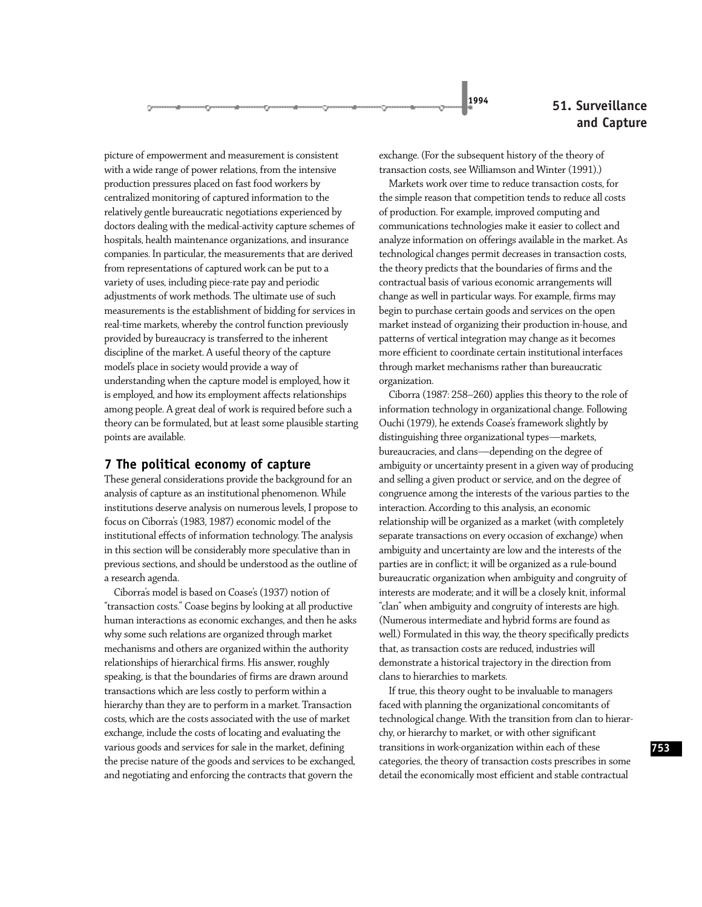picture of empowerment and measurement is consistent with a wide range of power relations, from the intensive production pressures placed on fast food workers by centralized monitoring of captured information to the relatively gentle bureaucratic negotiations experienced by doctors dealing with the medical-activity capture schemes of hospitals, health maintenance organizations, and insurance companies. In particular, the measurements that are derived from representations of captured work can be put to a variety of uses, including piece-rate pay and periodic adjustments of work methods. The ultimate use of such measurements is the establishment of bidding for services in real-time markets, whereby the control function previously provided by bureaucracy is transferred to the inherent discipline of the market. A useful theory of the capture model's place in society would provide a way of understanding when the capture model is employed, how it is employed, and how its employment affects relationships among people. A great deal of work is required before such a theory can be formulated, but at least some plausible starting points are available.

#### **7 The political economy of capture**

These general considerations provide the background for an analysis of capture as an institutional phenomenon. While institutions deserve analysis on numerous levels, I propose to focus on Ciborra's (1983, 1987) economic model of the institutional effects of information technology. The analysis in this section will be considerably more speculative than in previous sections, and should be understood as the outline of a research agenda.

Ciborra's model is based on Coase's (1937) notion of "transaction costs." Coase begins by looking at all productive human interactions as economic exchanges, and then he asks why some such relations are organized through market mechanisms and others are organized within the authority relationships of hierarchical firms. His answer, roughly speaking, is that the boundaries of firms are drawn around transactions which are less costly to perform within a hierarchy than they are to perform in a market. Transaction costs, which are the costs associated with the use of market exchange, include the costs of locating and evaluating the various goods and services for sale in the market, defining the precise nature of the goods and services to be exchanged, and negotiating and enforcing the contracts that govern the

exchange. (For the subsequent history of the theory of transaction costs, see Williamson and Winter (1991).)

**1994**

**51. Surveillance and Capture**

Markets work over time to reduce transaction costs, for the simple reason that competition tends to reduce all costs of production. For example, improved computing and communications technologies make it easier to collect and analyze information on offerings available in the market. As technological changes permit decreases in transaction costs, the theory predicts that the boundaries of firms and the contractual basis of various economic arrangements will change as well in particular ways. For example, firms may begin to purchase certain goods and services on the open market instead of organizing their production in-house, and patterns of vertical integration may change as it becomes more efficient to coordinate certain institutional interfaces through market mechanisms rather than bureaucratic organization.

Ciborra (1987: 258–260) applies this theory to the role of information technology in organizational change. Following Ouchi (1979), he extends Coase's framework slightly by distinguishing three organizational types—markets, bureaucracies, and clans—depending on the degree of ambiguity or uncertainty present in a given way of producing and selling a given product or service, and on the degree of congruence among the interests of the various parties to the interaction. According to this analysis, an economic relationship will be organized as a market (with completely separate transactions on every occasion of exchange) when ambiguity and uncertainty are low and the interests of the parties are in conflict; it will be organized as a rule-bound bureaucratic organization when ambiguity and congruity of interests are moderate; and it will be a closely knit, informal "clan" when ambiguity and congruity of interests are high. (Numerous intermediate and hybrid forms are found as well.) Formulated in this way, the theory specifically predicts that, as transaction costs are reduced, industries will demonstrate a historical trajectory in the direction from clans to hierarchies to markets.

If true, this theory ought to be invaluable to managers faced with planning the organizational concomitants of technological change. With the transition from clan to hierarchy, or hierarchy to market, or with other significant transitions in work-organization within each of these categories, the theory of transaction costs prescribes in some detail the economically most efficient and stable contractual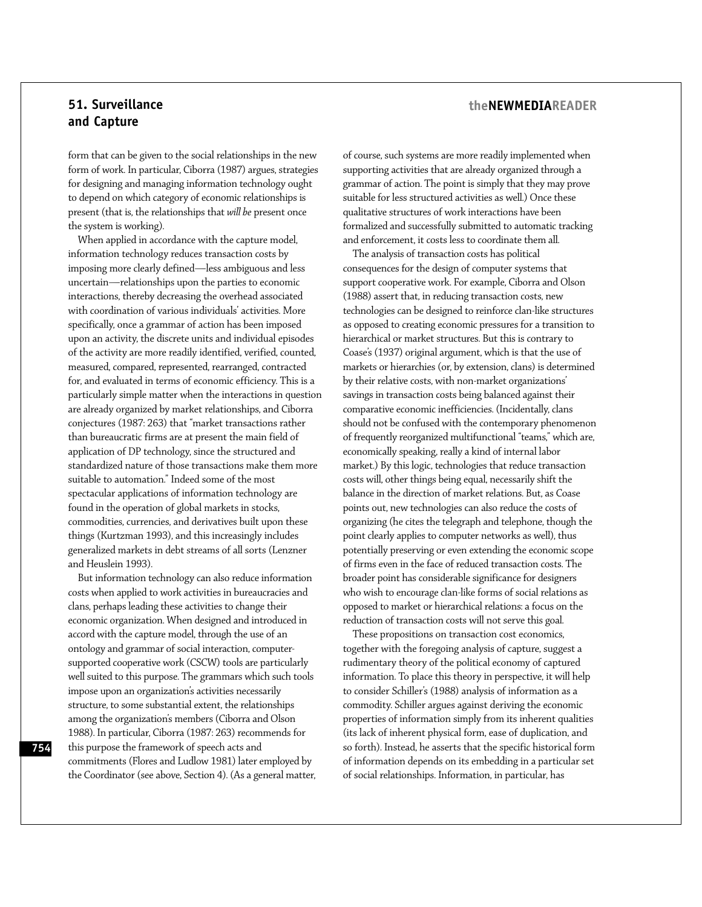form that can be given to the social relationships in the new form of work. In particular, Ciborra (1987) argues, strategies for designing and managing information technology ought to depend on which category of economic relationships is present (that is, the relationships that *will be* present once the system is working).

When applied in accordance with the capture model, information technology reduces transaction costs by imposing more clearly defined—less ambiguous and less uncertain—relationships upon the parties to economic interactions, thereby decreasing the overhead associated with coordination of various individuals' activities. More specifically, once a grammar of action has been imposed upon an activity, the discrete units and individual episodes of the activity are more readily identified, verified, counted, measured, compared, represented, rearranged, contracted for, and evaluated in terms of economic efficiency. This is a particularly simple matter when the interactions in question are already organized by market relationships, and Ciborra conjectures (1987: 263) that "market transactions rather than bureaucratic firms are at present the main field of application of DP technology, since the structured and standardized nature of those transactions make them more suitable to automation." Indeed some of the most spectacular applications of information technology are found in the operation of global markets in stocks, commodities, currencies, and derivatives built upon these things (Kurtzman 1993), and this increasingly includes generalized markets in debt streams of all sorts (Lenzner and Heuslein 1993).

But information technology can also reduce information costs when applied to work activities in bureaucracies and clans, perhaps leading these activities to change their economic organization. When designed and introduced in accord with the capture model, through the use of an ontology and grammar of social interaction, computersupported cooperative work (CSCW) tools are particularly well suited to this purpose. The grammars which such tools impose upon an organization's activities necessarily structure, to some substantial extent, the relationships among the organization's members (Ciborra and Olson 1988). In particular, Ciborra (1987: 263) recommends for this purpose the framework of speech acts and commitments (Flores and Ludlow 1981) later employed by the Coordinator (see above, Section 4). (As a general matter,

#### **theNEWMEDIAREADER**

of course, such systems are more readily implemented when supporting activities that are already organized through a grammar of action. The point is simply that they may prove suitable for less structured activities as well.) Once these qualitative structures of work interactions have been formalized and successfully submitted to automatic tracking and enforcement, it costs less to coordinate them all.

The analysis of transaction costs has political consequences for the design of computer systems that support cooperative work. For example, Ciborra and Olson (1988) assert that, in reducing transaction costs, new technologies can be designed to reinforce clan-like structures as opposed to creating economic pressures for a transition to hierarchical or market structures. But this is contrary to Coase's (1937) original argument, which is that the use of markets or hierarchies (or, by extension, clans) is determined by their relative costs, with non-market organizations' savings in transaction costs being balanced against their comparative economic inefficiencies. (Incidentally, clans should not be confused with the contemporary phenomenon of frequently reorganized multifunctional "teams," which are, economically speaking, really a kind of internal labor market.) By this logic, technologies that reduce transaction costs will, other things being equal, necessarily shift the balance in the direction of market relations. But, as Coase points out, new technologies can also reduce the costs of organizing (he cites the telegraph and telephone, though the point clearly applies to computer networks as well), thus potentially preserving or even extending the economic scope of firms even in the face of reduced transaction costs. The broader point has considerable significance for designers who wish to encourage clan-like forms of social relations as opposed to market or hierarchical relations: a focus on the reduction of transaction costs will not serve this goal.

These propositions on transaction cost economics, together with the foregoing analysis of capture, suggest a rudimentary theory of the political economy of captured information. To place this theory in perspective, it will help to consider Schiller's (1988) analysis of information as a commodity. Schiller argues against deriving the economic properties of information simply from its inherent qualities (its lack of inherent physical form, ease of duplication, and so forth). Instead, he asserts that the specific historical form of information depends on its embedding in a particular set of social relationships. Information, in particular, has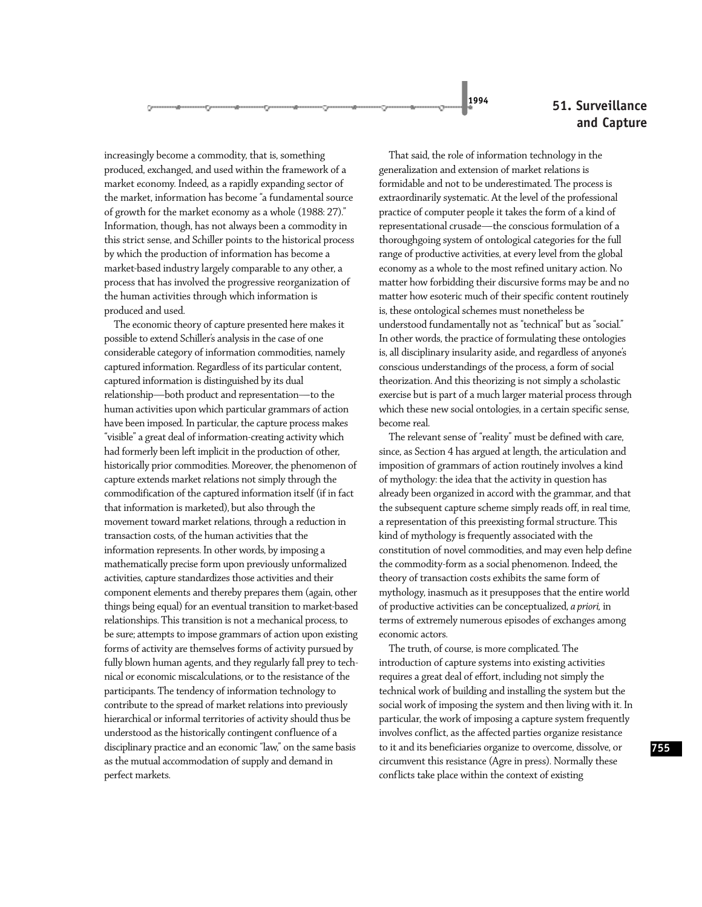increasingly become a commodity, that is, something produced, exchanged, and used within the framework of a market economy. Indeed, as a rapidly expanding sector of the market, information has become "a fundamental source of growth for the market economy as a whole (1988: 27)." Information, though, has not always been a commodity in this strict sense, and Schiller points to the historical process by which the production of information has become a market-based industry largely comparable to any other, a process that has involved the progressive reorganization of the human activities through which information is produced and used.

The economic theory of capture presented here makes it possible to extend Schiller's analysis in the case of one considerable category of information commodities, namely captured information. Regardless of its particular content, captured information is distinguished by its dual relationship—both product and representation—to the human activities upon which particular grammars of action have been imposed. In particular, the capture process makes "visible" a great deal of information-creating activity which had formerly been left implicit in the production of other, historically prior commodities. Moreover, the phenomenon of capture extends market relations not simply through the commodification of the captured information itself (if in fact that information is marketed), but also through the movement toward market relations, through a reduction in transaction costs, of the human activities that the information represents. In other words, by imposing a mathematically precise form upon previously unformalized activities, capture standardizes those activities and their component elements and thereby prepares them (again, other things being equal) for an eventual transition to market-based relationships. This transition is not a mechanical process, to be sure; attempts to impose grammars of action upon existing forms of activity are themselves forms of activity pursued by fully blown human agents, and they regularly fall prey to technical or economic miscalculations, or to the resistance of the participants. The tendency of information technology to contribute to the spread of market relations into previously hierarchical or informal territories of activity should thus be understood as the historically contingent confluence of a disciplinary practice and an economic "law," on the same basis as the mutual accommodation of supply and demand in perfect markets.

# **51. Surveillance and Capture**

That said, the role of information technology in the generalization and extension of market relations is formidable and not to be underestimated. The process is extraordinarily systematic. At the level of the professional practice of computer people it takes the form of a kind of representational crusade—the conscious formulation of a thoroughgoing system of ontological categories for the full range of productive activities, at every level from the global economy as a whole to the most refined unitary action. No matter how forbidding their discursive forms may be and no matter how esoteric much of their specific content routinely is, these ontological schemes must nonetheless be understood fundamentally not as "technical" but as "social." In other words, the practice of formulating these ontologies is, all disciplinary insularity aside, and regardless of anyone's conscious understandings of the process, a form of social theorization. And this theorizing is not simply a scholastic exercise but is part of a much larger material process through which these new social ontologies, in a certain specific sense, become real.

**1994**

The relevant sense of "reality" must be defined with care, since, as Section 4 has argued at length, the articulation and imposition of grammars of action routinely involves a kind of mythology: the idea that the activity in question has already been organized in accord with the grammar, and that the subsequent capture scheme simply reads off, in real time, a representation of this preexisting formal structure. This kind of mythology is frequently associated with the constitution of novel commodities, and may even help define the commodity-form as a social phenomenon. Indeed, the theory of transaction costs exhibits the same form of mythology, inasmuch as it presupposes that the entire world of productive activities can be conceptualized, *a priori,* in terms of extremely numerous episodes of exchanges among economic actors.

The truth, of course, is more complicated. The introduction of capture systems into existing activities requires a great deal of effort, including not simply the technical work of building and installing the system but the social work of imposing the system and then living with it. In particular, the work of imposing a capture system frequently involves conflict, as the affected parties organize resistance to it and its beneficiaries organize to overcome, dissolve, or circumvent this resistance (Agre in press). Normally these conflicts take place within the context of existing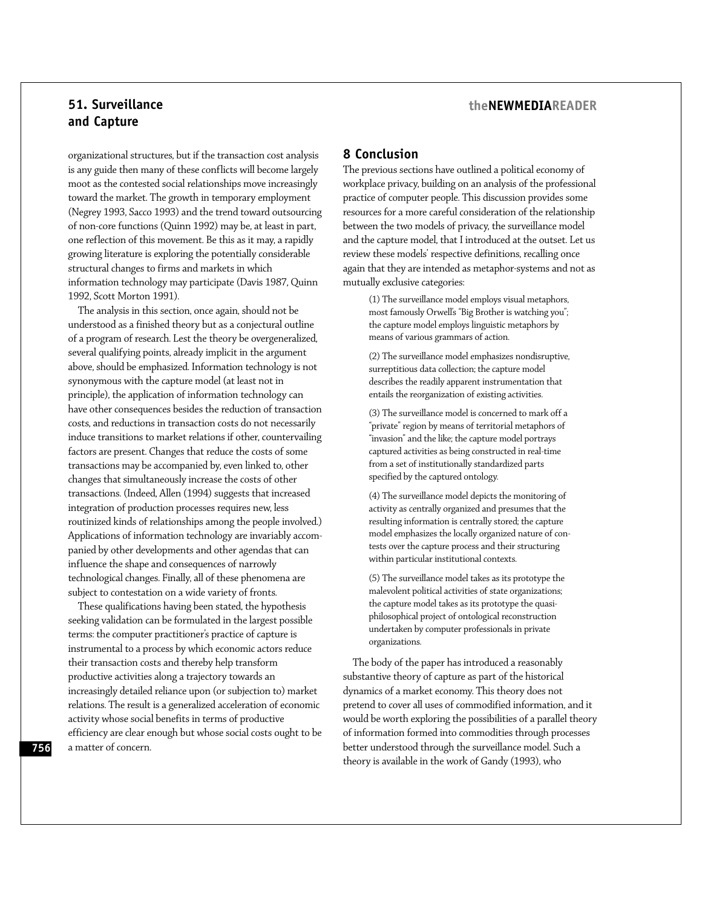organizational structures, but if the transaction cost analysis is any guide then many of these conflicts will become largely moot as the contested social relationships move increasingly toward the market. The growth in temporary employment (Negrey 1993, Sacco 1993) and the trend toward outsourcing of non-core functions (Quinn 1992) may be, at least in part, one reflection of this movement. Be this as it may, a rapidly growing literature is exploring the potentially considerable structural changes to firms and markets in which information technology may participate (Davis 1987, Quinn 1992, Scott Morton 1991).

The analysis in this section, once again, should not be understood as a finished theory but as a conjectural outline of a program of research. Lest the theory be overgeneralized, several qualifying points, already implicit in the argument above, should be emphasized. Information technology is not synonymous with the capture model (at least not in principle), the application of information technology can have other consequences besides the reduction of transaction costs, and reductions in transaction costs do not necessarily induce transitions to market relations if other, countervailing factors are present. Changes that reduce the costs of some transactions may be accompanied by, even linked to, other changes that simultaneously increase the costs of other transactions. (Indeed, Allen (1994) suggests that increased integration of production processes requires new, less routinized kinds of relationships among the people involved.) Applications of information technology are invariably accompanied by other developments and other agendas that can influence the shape and consequences of narrowly technological changes. Finally, all of these phenomena are subject to contestation on a wide variety of fronts.

These qualifications having been stated, the hypothesis seeking validation can be formulated in the largest possible terms: the computer practitioner's practice of capture is instrumental to a process by which economic actors reduce their transaction costs and thereby help transform productive activities along a trajectory towards an increasingly detailed reliance upon (or subjection to) market relations. The result is a generalized acceleration of economic activity whose social benefits in terms of productive efficiency are clear enough but whose social costs ought to be a matter of concern.

## **8 Conclusion**

The previous sections have outlined a political economy of workplace privacy, building on an analysis of the professional practice of computer people. This discussion provides some resources for a more careful consideration of the relationship between the two models of privacy, the surveillance model and the capture model, that I introduced at the outset. Let us review these models' respective definitions, recalling once again that they are intended as metaphor-systems and not as mutually exclusive categories:

(1) The surveillance model employs visual metaphors, most famously Orwell's "Big Brother is watching you"; the capture model employs linguistic metaphors by means of various grammars of action.

(2) The surveillance model emphasizes nondisruptive, surreptitious data collection; the capture model describes the readily apparent instrumentation that entails the reorganization of existing activities.

(3) The surveillance model is concerned to mark off a "private" region by means of territorial metaphors of "invasion" and the like; the capture model portrays captured activities as being constructed in real-time from a set of institutionally standardized parts specified by the captured ontology.

(4) The surveillance model depicts the monitoring of activity as centrally organized and presumes that the resulting information is centrally stored; the capture model emphasizes the locally organized nature of contests over the capture process and their structuring within particular institutional contexts.

(5) The surveillance model takes as its prototype the malevolent political activities of state organizations; the capture model takes as its prototype the quasiphilosophical project of ontological reconstruction undertaken by computer professionals in private organizations.

The body of the paper has introduced a reasonably substantive theory of capture as part of the historical dynamics of a market economy. This theory does not pretend to cover all uses of commodified information, and it would be worth exploring the possibilities of a parallel theory of information formed into commodities through processes better understood through the surveillance model. Such a theory is available in the work of Gandy (1993), who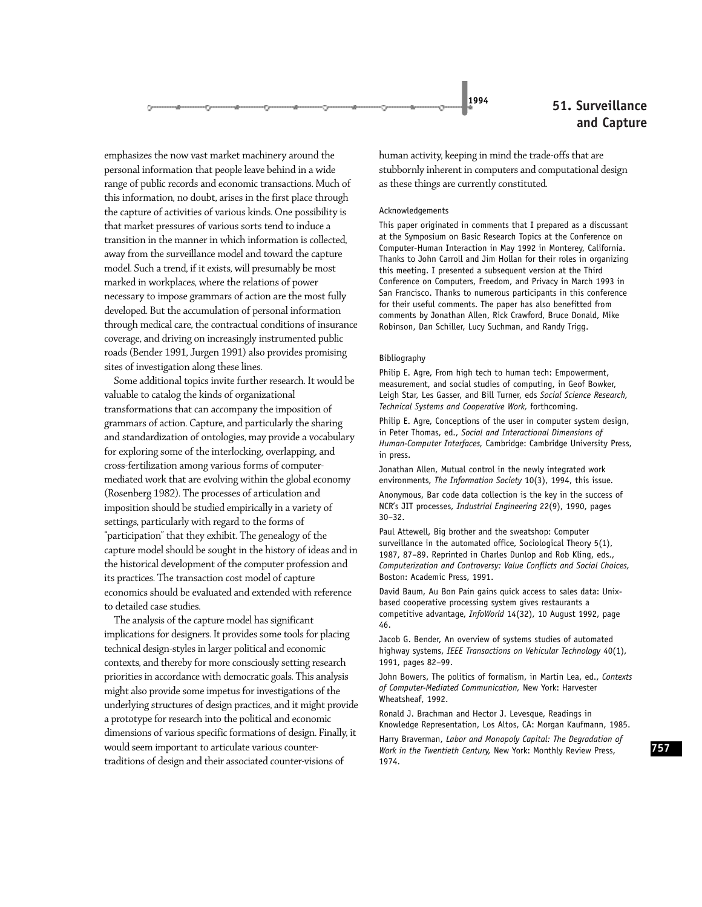emphasizes the now vast market machinery around the personal information that people leave behind in a wide range of public records and economic transactions. Much of this information, no doubt, arises in the first place through the capture of activities of various kinds. One possibility is that market pressures of various sorts tend to induce a transition in the manner in which information is collected, away from the surveillance model and toward the capture model. Such a trend, if it exists, will presumably be most marked in workplaces, where the relations of power necessary to impose grammars of action are the most fully developed. But the accumulation of personal information through medical care, the contractual conditions of insurance coverage, and driving on increasingly instrumented public roads (Bender 1991, Jurgen 1991) also provides promising sites of investigation along these lines.

Some additional topics invite further research. It would be valuable to catalog the kinds of organizational transformations that can accompany the imposition of grammars of action. Capture, and particularly the sharing and standardization of ontologies, may provide a vocabulary for exploring some of the interlocking, overlapping, and cross-fertilization among various forms of computermediated work that are evolving within the global economy (Rosenberg 1982). The processes of articulation and imposition should be studied empirically in a variety of settings, particularly with regard to the forms of "participation" that they exhibit. The genealogy of the capture model should be sought in the history of ideas and in the historical development of the computer profession and its practices. The transaction cost model of capture economics should be evaluated and extended with reference to detailed case studies.

The analysis of the capture model has significant implications for designers. It provides some tools for placing technical design-styles in larger political and economic contexts, and thereby for more consciously setting research priorities in accordance with democratic goals. This analysis might also provide some impetus for investigations of the underlying structures of design practices, and it might provide a prototype for research into the political and economic dimensions of various specific formations of design. Finally, it would seem important to articulate various countertraditions of design and their associated counter-visions of

human activity, keeping in mind the trade-offs that are stubbornly inherent in computers and computational design as these things are currently constituted.

**1994**

**51. Surveillance and Capture**

#### Acknowledgements

This paper originated in comments that I prepared as a discussant at the Symposium on Basic Research Topics at the Conference on Computer-Human Interaction in May 1992 in Monterey, California. Thanks to John Carroll and Jim Hollan for their roles in organizing this meeting. I presented a subsequent version at the Third Conference on Computers, Freedom, and Privacy in March 1993 in San Francisco. Thanks to numerous participants in this conference for their useful comments. The paper has also benefitted from comments by Jonathan Allen, Rick Crawford, Bruce Donald, Mike Robinson, Dan Schiller, Lucy Suchman, and Randy Trigg.

#### Bibliography

Philip E. Agre, From high tech to human tech: Empowerment, measurement, and social studies of computing, in Geof Bowker, Leigh Star, Les Gasser, and Bill Turner, eds *Social Science Research, Technical Systems and Cooperative Work,* forthcoming.

Philip E. Agre, Conceptions of the user in computer system design, in Peter Thomas, ed., *Social and Interactional Dimensions of Human-Computer Interfaces,* Cambridge: Cambridge University Press, in press.

Jonathan Allen, Mutual control in the newly integrated work environments, *The Information Society* 10(3), 1994, this issue.

Anonymous, Bar code data collection is the key in the success of NCR's JIT processes, *Industrial Engineering* 22(9), 1990, pages 30–32.

Paul Attewell, Big brother and the sweatshop: Computer surveillance in the automated office, Sociological Theory 5(1), 1987, 87–89. Reprinted in Charles Dunlop and Rob Kling, eds., *Computerization and Controversy: Value Conflicts and Social Choices,* Boston: Academic Press, 1991.

David Baum, Au Bon Pain gains quick access to sales data: Unixbased cooperative processing system gives restaurants a competitive advantage, *InfoWorld* 14(32), 10 August 1992, page 46.

Jacob G. Bender, An overview of systems studies of automated highway systems, *IEEE Transactions on Vehicular Technology* 40(1), 1991, pages 82–99.

John Bowers, The politics of formalism, in Martin Lea, ed., *Contexts of Computer-Mediated Communication,* New York: Harvester Wheatsheaf, 1992.

Ronald J. Brachman and Hector J. Levesque, Readings in Knowledge Representation, Los Altos, CA: Morgan Kaufmann, 1985.

Harry Braverman, *Labor and Monopoly Capital: The Degradation of Work in the Twentieth Century,* New York: Monthly Review Press, 1974.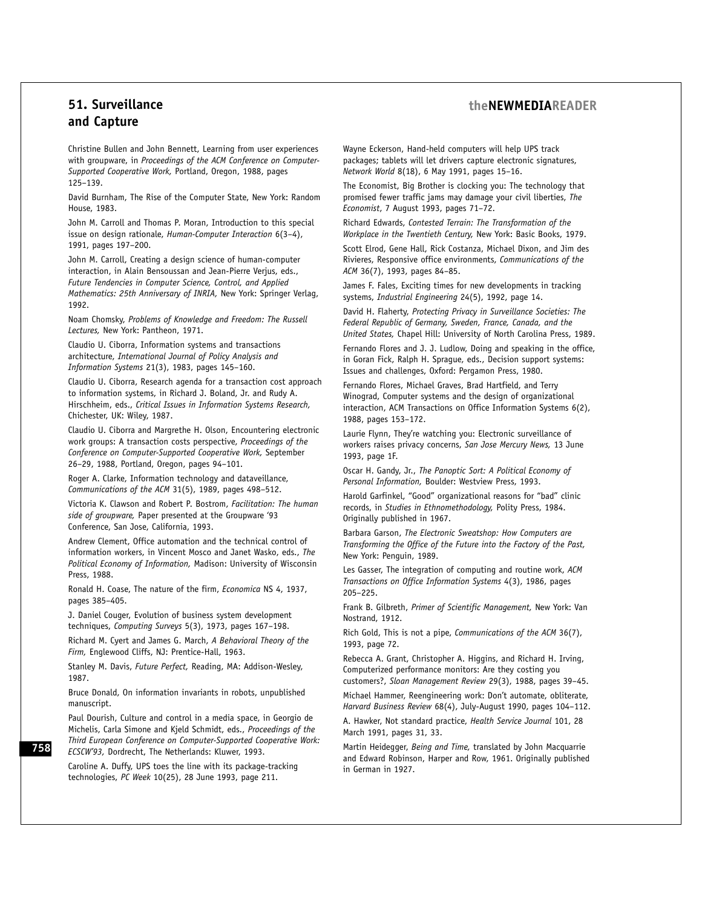Christine Bullen and John Bennett, Learning from user experiences with groupware, in *Proceedings of the ACM Conference on Computer-Supported Cooperative Work,* Portland, Oregon, 1988, pages 125–139.

David Burnham, The Rise of the Computer State, New York: Random House, 1983.

John M. Carroll and Thomas P. Moran, Introduction to this special issue on design rationale, *Human-Computer Interaction* 6(3–4), 1991, pages 197–200.

John M. Carroll, Creating a design science of human-computer interaction, in Alain Bensoussan and Jean-Pierre Verjus, eds., *Future Tendencies in Computer Science, Control, and Applied Mathematics: 25th Anniversary of INRIA,* New York: Springer Verlag, 1992.

Noam Chomsky, *Problems of Knowledge and Freedom: The Russell Lectures,* New York: Pantheon, 1971.

Claudio U. Ciborra, Information systems and transactions architecture, *International Journal of Policy Analysis and Information Systems* 21(3), 1983, pages 145–160.

Claudio U. Ciborra, Research agenda for a transaction cost approach to information systems, in Richard J. Boland, Jr. and Rudy A. Hirschheim, eds., *Critical Issues in Information Systems Research,* Chichester, UK: Wiley, 1987.

Claudio U. Ciborra and Margrethe H. Olson, Encountering electronic work groups: A transaction costs perspective, *Proceedings of the Conference on Computer-Supported Cooperative Work,* September 26–29, 1988, Portland, Oregon, pages 94–101.

Roger A. Clarke, Information technology and dataveillance, *Communications of the ACM* 31(5), 1989, pages 498–512.

Victoria K. Clawson and Robert P. Bostrom, *Facilitation: The human side of groupware,* Paper presented at the Groupware '93 Conference, San Jose, California, 1993.

Andrew Clement, Office automation and the technical control of information workers, in Vincent Mosco and Janet Wasko, eds., *The Political Economy of Information,* Madison: University of Wisconsin Press, 1988.

Ronald H. Coase, The nature of the firm, *Economica* NS 4, 1937, pages 385–405.

J. Daniel Couger, Evolution of business system development techniques, *Computing Surveys* 5(3), 1973, pages 167–198.

Richard M. Cyert and James G. March, *A Behavioral Theory of the Firm,* Englewood Cliffs, NJ: Prentice-Hall, 1963.

Stanley M. Davis, *Future Perfect,* Reading, MA: Addison-Wesley, 1987.

Bruce Donald, On information invariants in robots, unpublished manuscript.

Paul Dourish, Culture and control in a media space, in Georgio de Michelis, Carla Simone and Kjeld Schmidt, eds., *Proceedings of the Third European Conference on Computer-Supported Cooperative Work: ECSCW'93,* Dordrecht, The Netherlands: Kluwer, 1993.

Caroline A. Duffy, UPS toes the line with its package-tracking technologies, *PC Week* 10(25), 28 June 1993, page 211.

#### **theNEWMEDIAREADER**

Wayne Eckerson, Hand-held computers will help UPS track packages; tablets will let drivers capture electronic signatures, *Network World* 8(18), 6 May 1991, pages 15–16.

The Economist, Big Brother is clocking you: The technology that promised fewer traffic jams may damage your civil liberties, *The Economist*, 7 August 1993, pages 71–72.

Richard Edwards, *Contested Terrain: The Transformation of the Workplace in the Twentieth Century,* New York: Basic Books, 1979.

Scott Elrod, Gene Hall, Rick Costanza, Michael Dixon, and Jim des Rivieres, Responsive office environments, *Communications of the ACM* 36(7), 1993, pages 84–85.

James F. Fales, Exciting times for new developments in tracking systems, *Industrial Engineering* 24(5), 1992, page 14.

David H. Flaherty, *Protecting Privacy in Surveillance Societies: The Federal Republic of Germany, Sweden, France, Canada, and the United States,* Chapel Hill: University of North Carolina Press, 1989.

Fernando Flores and J. J. Ludlow, Doing and speaking in the office, in Goran Fick, Ralph H. Sprague, eds., Decision support systems: Issues and challenges, Oxford: Pergamon Press, 1980.

Fernando Flores, Michael Graves, Brad Hartfield, and Terry Winograd, Computer systems and the design of organizational interaction, ACM Transactions on Office Information Systems 6(2), 1988, pages 153–172.

Laurie Flynn, They're watching you: Electronic surveillance of workers raises privacy concerns, *San Jose Mercury News,* 13 June 1993, page 1F.

Oscar H. Gandy, Jr., *The Panoptic Sort: A Political Economy of Personal Information,* Boulder: Westview Press, 1993.

Harold Garfinkel, "Good" organizational reasons for "bad" clinic records, in *Studies in Ethnomethodology,* Polity Press, 1984. Originally published in 1967.

Barbara Garson, *The Electronic Sweatshop: How Computers are Transforming the Office of the Future into the Factory of the Past,* New York: Penguin, 1989.

Les Gasser, The integration of computing and routine work, *ACM Transactions on Office Information Systems* 4(3), 1986, pages 205–225.

Frank B. Gilbreth, *Primer of Scientific Management,* New York: Van Nostrand, 1912.

Rich Gold, This is not a pipe, *Communications of the ACM* 36(7), 1993, page 72.

Rebecca A. Grant, Christopher A. Higgins, and Richard H. Irving, Computerized performance monitors: Are they costing you

customers?, *Sloan Management Review* 29(3), 1988, pages 39–45. Michael Hammer, Reengineering work: Don't automate, obliterate, *Harvard Business Review* 68(4), July-August 1990, pages 104–112.

A. Hawker, Not standard practice, *Health Service Journal* 101, 28 March 1991, pages 31, 33.

Martin Heidegger, *Being and Time,* translated by John Macquarrie and Edward Robinson, Harper and Row, 1961. Originally published in German in 1927.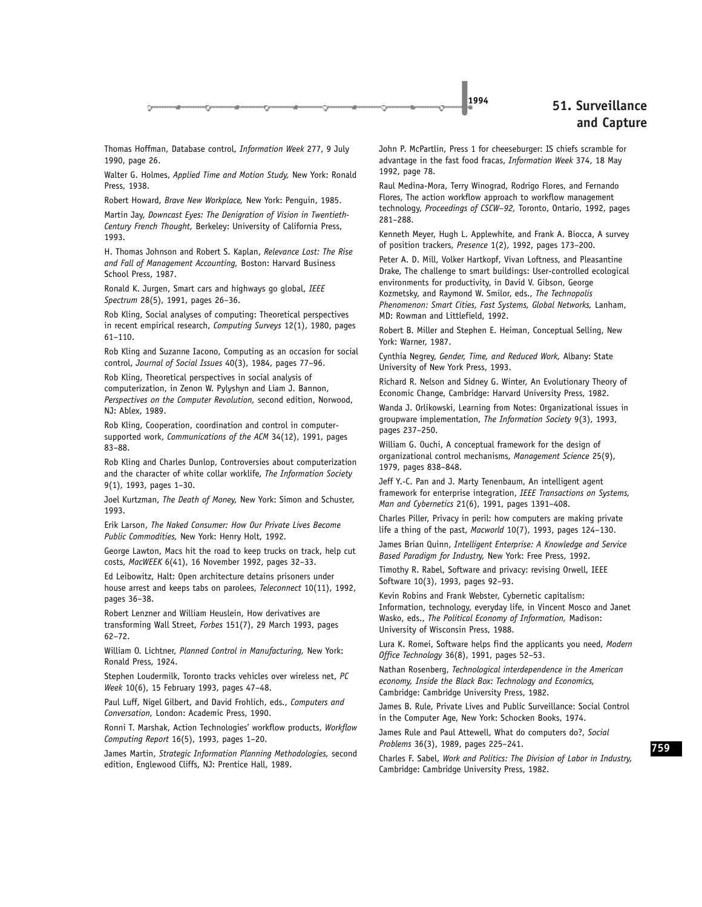Thomas Hoffman, Database control, *Information Week* 277, 9 July 1990, page 26.

Walter G. Holmes, *Applied Time and Motion Study,* New York: Ronald Press, 1938.

Robert Howard, *Brave New Workplace,* New York: Penguin, 1985.

Martin Jay, *Downcast Eyes: The Denigration of Vision in Twentieth-Century French Thought,* Berkeley: University of California Press, 1993.

H. Thomas Johnson and Robert S. Kaplan, *Relevance Lost: The Rise and Fall of Management Accounting,* Boston: Harvard Business School Press, 1987.

Ronald K. Jurgen, Smart cars and highways go global, *IEEE Spectrum* 28(5), 1991, pages 26–36.

Rob Kling, Social analyses of computing: Theoretical perspectives in recent empirical research, *Computing Surveys* 12(1), 1980, pages 61–110.

Rob Kling and Suzanne Iacono, Computing as an occasion for social control, *Journal of Social Issues* 40(3), 1984, pages 77–96.

Rob Kling, Theoretical perspectives in social analysis of computerization, in Zenon W. Pylyshyn and Liam J. Bannon, *Perspectives on the Computer Revolution,* second edition, Norwood, NJ: Ablex, 1989.

Rob Kling, Cooperation, coordination and control in computersupported work, *Communications of the ACM* 34(12), 1991, pages 83–88.

Rob Kling and Charles Dunlop, Controversies about computerization and the character of white collar worklife, *The Information Society* 9(1), 1993, pages 1–30.

Joel Kurtzman, *The Death of Money,* New York: Simon and Schuster, 1993.

Erik Larson, *The Naked Consumer: How Our Private Lives Become Public Commodities,* New York: Henry Holt, 1992.

George Lawton, Macs hit the road to keep trucks on track, help cut costs, *MacWEEK* 6(41), 16 November 1992, pages 32–33.

Ed Leibowitz, Halt: Open architecture detains prisoners under house arrest and keeps tabs on parolees, *Teleconnect* 10(11), 1992, pages 36–38.

Robert Lenzner and William Heuslein, How derivatives are transforming Wall Street, *Forbes* 151(7), 29 March 1993, pages 62–72.

William O. Lichtner, *Planned Control in Manufacturing,* New York: Ronald Press, 1924.

Stephen Loudermilk, Toronto tracks vehicles over wireless net, *PC Week* 10(6), 15 February 1993, pages 47–48.

Paul Luff, Nigel Gilbert, and David Frohlich, eds., *Computers and Conversation,* London: Academic Press, 1990.

Ronni T. Marshak, Action Technologies' workflow products, *Workflow Computing Report* 16(5), 1993, pages 1–20.

James Martin, *Strategic Information Planning Methodologies,* second edition, Englewood Cliffs, NJ: Prentice Hall, 1989.

John P. McPartlin, Press 1 for cheeseburger: IS chiefs scramble for advantage in the fast food fracas, *Information Week* 374, 18 May 1992, page 78.

Raul Medina-Mora, Terry Winograd, Rodrigo Flores, and Fernando Flores, The action workflow approach to workflow management technology, *Proceedings of CSCW–92,* Toronto, Ontario, 1992, pages 281–288.

Kenneth Meyer, Hugh L. Applewhite, and Frank A. Biocca, A survey of position trackers, *Presence* 1(2), 1992, pages 173–200.

Peter A. D. Mill, Volker Hartkopf, Vivan Loftness, and Pleasantine Drake, The challenge to smart buildings: User-controlled ecological environments for productivity, in David V. Gibson, George Kozmetsky, and Raymond W. Smilor, eds., *The Technopolis Phenomenon: Smart Cities, Fast Systems, Global Networks,* Lanham, MD: Rowman and Littlefield, 1992.

Robert B. Miller and Stephen E. Heiman, Conceptual Selling, New York: Warner, 1987.

Cynthia Negrey, *Gender, Time, and Reduced Work,* Albany: State University of New York Press, 1993.

Richard R. Nelson and Sidney G. Winter, An Evolutionary Theory of Economic Change, Cambridge: Harvard University Press, 1982.

Wanda J. Orlikowski, Learning from Notes: Organizational issues in groupware implementation, *The Information Society* 9(3), 1993, pages 237–250.

William G. Ouchi, A conceptual framework for the design of organizational control mechanisms, *Management Science* 25(9), 1979, pages 838–848.

Jeff Y.-C. Pan and J. Marty Tenenbaum, An intelligent agent framework for enterprise integration, *IEEE Transactions on Systems, Man and Cybernetics* 21(6), 1991, pages 1391–408.

Charles Piller, Privacy in peril: how computers are making private life a thing of the past, *Macworld* 10(7), 1993, pages 124–130.

James Brian Quinn, *Intelligent Enterprise: A Knowledge and Service Based Paradigm for Industry,* New York: Free Press, 1992.

Timothy R. Rabel, Software and privacy: revising Orwell, IEEE Software 10(3), 1993, pages 92–93.

Kevin Robins and Frank Webster, Cybernetic capitalism: Information, technology, everyday life, in Vincent Mosco and Janet Wasko, eds., *The Political Economy of Information,* Madison: University of Wisconsin Press, 1988.

Lura K. Romei, Software helps find the applicants you need, *Modern Office Technology* 36(8), 1991, pages 52–53.

Nathan Rosenberg, *Technological interdependence in the American economy, Inside the Black Box: Technology and Economics,* Cambridge: Cambridge University Press, 1982.

James B. Rule, Private Lives and Public Surveillance: Social Control in the Computer Age, New York: Schocken Books, 1974.

James Rule and Paul Attewell, What do computers do?, *Social Problems* 36(3), 1989, pages 225–241.

Charles F. Sabel, *Work and Politics: The Division of Labor in Industry,* Cambridge: Cambridge University Press, 1982.